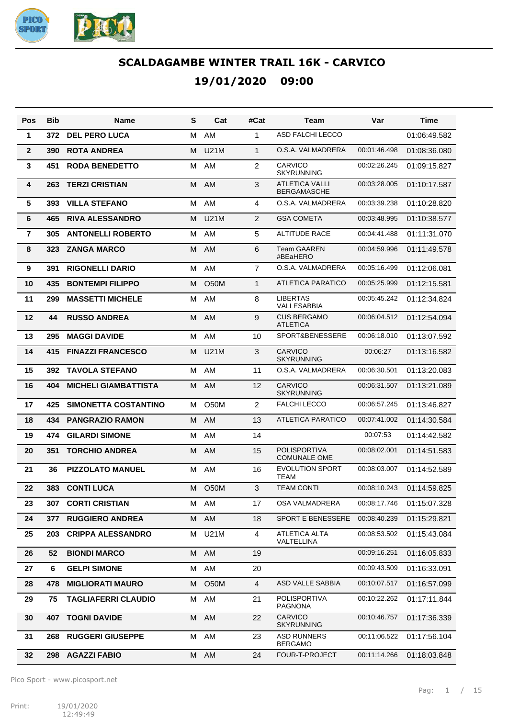

| Pos            | <b>Bib</b> | Name                        | S | Cat               | #Cat           | Team                                        | Var          | <b>Time</b>  |
|----------------|------------|-----------------------------|---|-------------------|----------------|---------------------------------------------|--------------|--------------|
| 1              | 372        | <b>DEL PERO LUCA</b>        | м | AM                | $\mathbf{1}$   | <b>ASD FALCHI LECCO</b>                     |              | 01:06:49.582 |
| $\mathbf{2}$   | 390        | <b>ROTA ANDREA</b>          | м | <b>U21M</b>       | $\mathbf{1}$   | O.S.A. VALMADRERA                           | 00:01:46.498 | 01:08:36.080 |
| 3              | 451        | <b>RODA BENEDETTO</b>       | м | AM                | 2              | <b>CARVICO</b><br><b>SKYRUNNING</b>         | 00:02:26.245 | 01:09:15.827 |
| 4              | 263        | <b>TERZI CRISTIAN</b>       | M | AM                | 3              | <b>ATLETICA VALLI</b><br><b>BERGAMASCHE</b> | 00:03:28.005 | 01:10:17.587 |
| 5              | 393        | <b>VILLA STEFANO</b>        | М | AM                | 4              | O.S.A. VALMADRERA                           | 00:03:39.238 | 01:10:28.820 |
| 6              | 465        | <b>RIVA ALESSANDRO</b>      | м | <b>U21M</b>       | $\overline{2}$ | <b>GSA COMETA</b>                           | 00:03:48.995 | 01:10:38.577 |
| $\overline{7}$ | 305        | <b>ANTONELLI ROBERTO</b>    | М | AM                | 5              | <b>ALTITUDE RACE</b>                        | 00:04:41.488 | 01:11:31.070 |
| 8              | 323        | <b>ZANGA MARCO</b>          | м | AM                | 6              | <b>Team GAAREN</b><br>#BEaHERO              | 00:04:59.996 | 01:11:49.578 |
| 9              | 391        | <b>RIGONELLI DARIO</b>      | м | AM                | $\overline{7}$ | O.S.A. VALMADRERA                           | 00:05:16.499 | 01:12:06.081 |
| 10             | 435        | <b>BONTEMPI FILIPPO</b>     | М | <b>O50M</b>       | $\mathbf{1}$   | <b>ATLETICA PARATICO</b>                    | 00:05:25.999 | 01:12:15.581 |
| 11             | 299        | <b>MASSETTI MICHELE</b>     | м | AM                | 8              | LIBERTAS<br>VALLESABBIA                     | 00:05:45.242 | 01:12:34.824 |
| 12             | 44         | <b>RUSSO ANDREA</b>         | M | AM                | 9              | <b>CUS BERGAMO</b><br><b>ATLETICA</b>       | 00:06:04.512 | 01:12:54.094 |
| 13             | 295        | <b>MAGGI DAVIDE</b>         | м | AM                | 10             | SPORT&BENESSERE                             | 00:06:18.010 | 01:13:07.592 |
| 14             | 415        | <b>FINAZZI FRANCESCO</b>    | м | <b>U21M</b>       | 3              | <b>CARVICO</b><br><b>SKYRUNNING</b>         | 00:06:27     | 01:13:16.582 |
| 15             | 392        | <b>TAVOLA STEFANO</b>       | м | AM                | 11             | O.S.A. VALMADRERA                           | 00:06:30.501 | 01:13:20.083 |
| 16             | 404        | <b>MICHELI GIAMBATTISTA</b> | M | AM                | 12             | <b>CARVICO</b><br><b>SKYRUNNING</b>         | 00:06:31.507 | 01:13:21.089 |
| 17             | 425        | <b>SIMONETTA COSTANTINO</b> | М | O50M              | $\overline{2}$ | <b>FALCHI LECCO</b>                         | 00:06:57.245 | 01:13:46.827 |
| 18             | 434        | <b>PANGRAZIO RAMON</b>      | М | AM                | 13             | <b>ATLETICA PARATICO</b>                    | 00:07:41.002 | 01:14:30.584 |
| 19             | 474        | <b>GILARDI SIMONE</b>       | м | AM                | 14             |                                             | 00:07:53     | 01:14:42.582 |
| 20             | 351        | <b>TORCHIO ANDREA</b>       | м | AM                | 15             | <b>POLISPORTIVA</b><br><b>COMUNALE OME</b>  | 00:08:02.001 | 01:14:51.583 |
| 21             | 36         | <b>PIZZOLATO MANUEL</b>     | м | AM                | 16             | <b>EVOLUTION SPORT</b><br><b>TEAM</b>       | 00:08:03.007 | 01:14:52.589 |
| 22             | 383        | <b>CONTI LUCA</b>           |   | M O50M            | 3              | <b>TEAM CONTI</b>                           | 00:08:10.243 | 01:14:59.825 |
| 23             | 307        | <b>CORTI CRISTIAN</b>       |   | M AM              | 17             | OSA VALMADRERA                              | 00:08:17.746 | 01:15:07.328 |
| 24             | 377        | <b>RUGGIERO ANDREA</b>      | М | AM                | 18             | <b>SPORT E BENESSERE</b>                    | 00:08:40.239 | 01:15:29.821 |
| 25             | 203        | <b>CRIPPA ALESSANDRO</b>    | м | U21M              | 4              | ATLETICA ALTA<br>VALTELLINA                 | 00:08:53.502 | 01:15:43.084 |
| 26             | 52         | <b>BIONDI MARCO</b>         |   | M AM              | 19             |                                             | 00:09:16.251 | 01:16:05.833 |
| 27             | 6          | <b>GELPI SIMONE</b>         | М | AM                | 20             |                                             | 00:09:43.509 | 01:16:33.091 |
| 28             | 478        | <b>MIGLIORATI MAURO</b>     | м | O <sub>5</sub> 0M | 4              | ASD VALLE SABBIA                            | 00:10:07.517 | 01:16:57.099 |
| 29             | 75         | <b>TAGLIAFERRI CLAUDIO</b>  | М | AM                | 21             | <b>POLISPORTIVA</b><br><b>PAGNONA</b>       | 00:10:22.262 | 01:17:11.844 |
| 30             | 407        | <b>TOGNI DAVIDE</b>         | M | AM                | 22             | <b>CARVICO</b><br><b>SKYRUNNING</b>         | 00:10:46.757 | 01:17:36.339 |
| 31             | 268        | <b>RUGGERI GIUSEPPE</b>     | М | AM                | 23             | ASD RUNNERS<br><b>BERGAMO</b>               | 00:11:06.522 | 01:17:56.104 |
| 32             | 298        | <b>AGAZZI FABIO</b>         |   | M AM              | 24             | FOUR-T-PROJECT                              | 00:11:14.266 | 01:18:03.848 |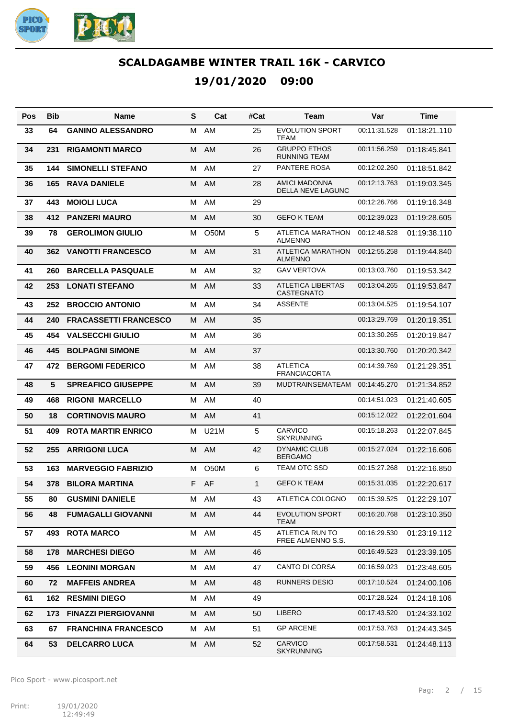

| Pos | Bib | Name                         | S | Cat               | #Cat         | Team                                          | Var          | Time         |
|-----|-----|------------------------------|---|-------------------|--------------|-----------------------------------------------|--------------|--------------|
| 33  | 64  | <b>GANINO ALESSANDRO</b>     | м | AM                | 25           | <b>EVOLUTION SPORT</b><br>TEAM                | 00:11:31.528 | 01:18:21.110 |
| 34  | 231 | <b>RIGAMONTI MARCO</b>       | M | AM                | 26           | <b>GRUPPO ETHOS</b><br>RUNNING TEAM           | 00:11:56.259 | 01:18:45.841 |
| 35  | 144 | <b>SIMONELLI STEFANO</b>     | M | AM                | 27           | <b>PANTERE ROSA</b>                           | 00:12:02.260 | 01:18:51.842 |
| 36  | 165 | <b>RAVA DANIELE</b>          | м | AM                | 28           | <b>AMICI MADONNA</b><br>DELLA NEVE LAGUNC     | 00:12:13.763 | 01:19:03.345 |
| 37  | 443 | <b>MOIOLI LUCA</b>           | м | AM                | 29           |                                               | 00:12:26.766 | 01:19:16.348 |
| 38  | 412 | <b>PANZERI MAURO</b>         | М | AM                | 30           | <b>GEFO K TEAM</b>                            | 00:12:39.023 | 01:19:28.605 |
| 39  | 78  | <b>GEROLIMON GIULIO</b>      | м | O <sub>50</sub> M | 5            | ATLETICA MARATHON<br><b>ALMENNO</b>           | 00:12:48.528 | 01:19:38.110 |
| 40  | 362 | <b>VANOTTI FRANCESCO</b>     | M | AM                | 31           | ATLETICA MARATHON<br><b>ALMENNO</b>           | 00:12:55.258 | 01:19:44.840 |
| 41  | 260 | <b>BARCELLA PASQUALE</b>     | M | AM                | 32           | <b>GAV VERTOVA</b>                            | 00:13:03.760 | 01:19:53.342 |
| 42  | 253 | <b>LONATI STEFANO</b>        | м | <b>AM</b>         | 33           | <b>ATLETICA LIBERTAS</b><br><b>CASTEGNATO</b> | 00:13:04.265 | 01:19:53.847 |
| 43  | 252 | <b>BROCCIO ANTONIO</b>       | м | AM                | 34           | <b>ASSENTE</b>                                | 00:13:04.525 | 01:19:54.107 |
| 44  | 240 | <b>FRACASSETTI FRANCESCO</b> | М | AM                | 35           |                                               | 00:13:29.769 | 01:20:19.351 |
| 45  | 454 | <b>VALSECCHI GIULIO</b>      | м | AM                | 36           |                                               | 00:13:30.265 | 01:20:19.847 |
| 46  | 445 | <b>BOLPAGNI SIMONE</b>       | м | AM                | 37           |                                               | 00:13:30.760 | 01:20:20.342 |
| 47  | 472 | <b>BERGOMI FEDERICO</b>      | м | AM                | 38           | <b>ATLETICA</b><br><b>FRANCIACORTA</b>        | 00:14:39.769 | 01:21:29.351 |
| 48  | 5   | <b>SPREAFICO GIUSEPPE</b>    | M | AM                | 39           | <b>MUDTRAINSEMATEAM</b>                       | 00:14:45.270 | 01:21:34.852 |
| 49  | 468 | <b>RIGONI MARCELLO</b>       | м | AM                | 40           |                                               | 00:14:51.023 | 01:21:40.605 |
| 50  | 18  | <b>CORTINOVIS MAURO</b>      | м | AM                | 41           |                                               | 00:15:12.022 | 01:22:01.604 |
| 51  | 409 | <b>ROTA MARTIR ENRICO</b>    | м | <b>U21M</b>       | 5            | <b>CARVICO</b><br><b>SKYRUNNING</b>           | 00:15:18.263 | 01:22:07.845 |
| 52  | 255 | <b>ARRIGONI LUCA</b>         | М | AM                | 42           | <b>DYNAMIC CLUB</b><br><b>BERGAMO</b>         | 00:15:27.024 | 01:22:16.606 |
| 53  | 163 | <b>MARVEGGIO FABRIZIO</b>    | м | <b>O50M</b>       | 6            | <b>TEAM OTC SSD</b>                           | 00:15:27.268 | 01:22:16.850 |
| 54  | 378 | <b>BILORA MARTINA</b>        |   | F AF              | $\mathbf{1}$ | <b>GEFO K TEAM</b>                            | 00:15:31.035 | 01:22:20.617 |
| 55  | 80  | <b>GUSMINI DANIELE</b>       |   | M AM              | 43           | ATLETICA COLOGNO                              | 00:15:39.525 | 01:22:29.107 |
| 56  | 48  | <b>FUMAGALLI GIOVANNI</b>    | М | AM                | 44           | <b>EVOLUTION SPORT</b><br>TEAM                | 00:16:20.768 | 01:23:10.350 |
| 57  | 493 | <b>ROTA MARCO</b>            | М | AM                | 45           | ATLETICA RUN TO<br>FREE ALMENNO S.S.          | 00:16:29.530 | 01:23:19.112 |
| 58  | 178 | <b>MARCHESI DIEGO</b>        | М | AM                | 46           |                                               | 00:16:49.523 | 01:23:39.105 |
| 59  | 456 | <b>LEONINI MORGAN</b>        | М | AM                | 47           | CANTO DI CORSA                                | 00:16:59.023 | 01:23:48.605 |
| 60  | 72  | <b>MAFFEIS ANDREA</b>        | М | AM                | 48           | <b>RUNNERS DESIO</b>                          | 00:17:10.524 | 01:24:00.106 |
| 61  | 162 | <b>RESMINI DIEGO</b>         | М | AM                | 49           |                                               | 00:17:28.524 | 01:24:18.106 |
| 62  | 173 | <b>FINAZZI PIERGIOVANNI</b>  | М | AM                | 50           | <b>LIBERO</b>                                 | 00:17:43.520 | 01:24:33.102 |
| 63  | 67  | <b>FRANCHINA FRANCESCO</b>   | М | AM                | 51           | <b>GP ARCENE</b>                              | 00:17:53.763 | 01:24:43.345 |
| 64  | 53  | <b>DELCARRO LUCA</b>         | M | AM                | 52           | CARVICO<br>SKYRUNNING                         | 00:17:58.531 | 01:24:48.113 |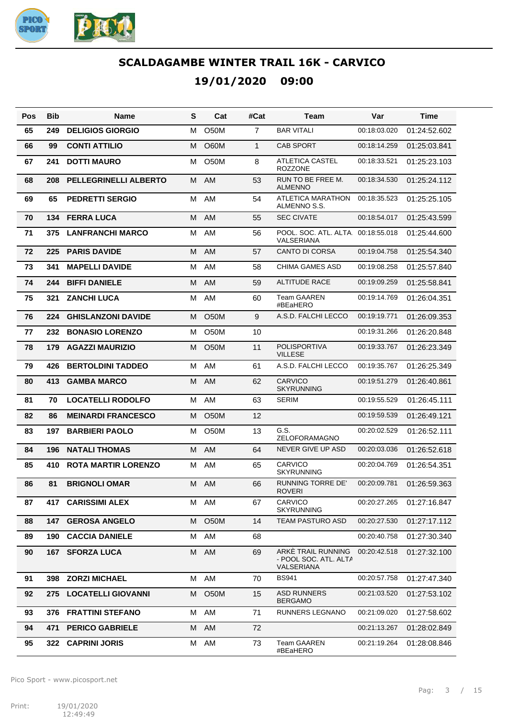

| Pos | Bib   | Name                         | S | Cat               | #Cat           | Team                                                      | Var          | Time         |
|-----|-------|------------------------------|---|-------------------|----------------|-----------------------------------------------------------|--------------|--------------|
| 65  | 249   | <b>DELIGIOS GIORGIO</b>      | M | <b>O50M</b>       | $\overline{7}$ | <b>BAR VITALI</b>                                         | 00:18:03.020 | 01:24:52.602 |
| 66  | 99    | <b>CONTI ATTILIO</b>         | м | O60M              | $\mathbf{1}$   | <b>CAB SPORT</b>                                          | 00:18:14.259 | 01:25:03.841 |
| 67  | 241   | <b>DOTTI MAURO</b>           | м | O50M              | 8              | <b>ATLETICA CASTEL</b><br><b>ROZZONE</b>                  | 00:18:33.521 | 01:25:23.103 |
| 68  | 208   | <b>PELLEGRINELLI ALBERTO</b> | M | AM                | 53             | RUN TO BE FREE M.<br><b>ALMENNO</b>                       | 00:18:34.530 | 01:25:24.112 |
| 69  | 65    | <b>PEDRETTI SERGIO</b>       | м | AM                | 54             | ATLETICA MARATHON<br>ALMENNO S.S.                         | 00:18:35.523 | 01:25:25.105 |
| 70  | 134   | <b>FERRA LUCA</b>            | м | AM                | 55             | <b>SEC CIVATE</b>                                         | 00:18:54.017 | 01:25:43.599 |
| 71  | 375   | <b>LANFRANCHI MARCO</b>      | м | AM                | 56             | POOL, SOC, ATL, ALTA 00:18:55.018<br>VALSERIANA           |              | 01:25:44.600 |
| 72  | 225   | <b>PARIS DAVIDE</b>          | М | <b>AM</b>         | 57             | <b>CANTO DI CORSA</b>                                     | 00:19:04.758 | 01:25:54.340 |
| 73  | 341   | <b>MAPELLI DAVIDE</b>        | м | AM                | 58             | <b>CHIMA GAMES ASD</b>                                    | 00:19:08.258 | 01:25:57.840 |
| 74  | 244   | <b>BIFFI DANIELE</b>         | M | AM                | 59             | <b>ALTITUDE RACE</b>                                      | 00:19:09.259 | 01:25:58.841 |
| 75  | 321   | <b>ZANCHI LUCA</b>           | м | AM                | 60             | <b>Team GAAREN</b><br>#BEaHERO                            | 00:19:14.769 | 01:26:04.351 |
| 76  | 224   | <b>GHISLANZONI DAVIDE</b>    | м | <b>O50M</b>       | 9              | A.S.D. FALCHI LECCO                                       | 00:19:19.771 | 01:26:09.353 |
| 77  | 232   | <b>BONASIO LORENZO</b>       | м | <b>O50M</b>       | 10             |                                                           | 00:19:31.266 | 01:26:20.848 |
| 78  | 179   | <b>AGAZZI MAURIZIO</b>       | м | O <sub>50</sub> M | 11             | <b>POLISPORTIVA</b><br><b>VILLESE</b>                     | 00:19:33.767 | 01:26:23.349 |
| 79  | 426   | <b>BERTOLDINI TADDEO</b>     | M | AM                | 61             | A.S.D. FALCHI LECCO                                       | 00:19:35.767 | 01:26:25.349 |
| 80  | 413   | <b>GAMBA MARCO</b>           | м | AM                | 62             | <b>CARVICO</b><br><b>SKYRUNNING</b>                       | 00:19:51.279 | 01:26:40.861 |
| 81  | 70    | <b>LOCATELLI RODOLFO</b>     | м | AM                | 63             | <b>SERIM</b>                                              | 00:19:55.529 | 01:26:45.111 |
| 82  | 86    | <b>MEINARDI FRANCESCO</b>    | м | <b>O50M</b>       | 12             |                                                           | 00:19:59.539 | 01:26:49.121 |
| 83  | 197   | <b>BARBIERI PAOLO</b>        | м | O <sub>5</sub> 0M | 13             | G.S.<br>ZELOFORAMAGNO                                     | 00:20:02.529 | 01:26:52.111 |
| 84  | 196   | <b>NATALI THOMAS</b>         | M | AM                | 64             | <b>NEVER GIVE UP ASD</b>                                  | 00:20:03.036 | 01:26:52.618 |
| 85  | 410   | <b>ROTA MARTIR LORENZO</b>   | м | AM                | 65             | <b>CARVICO</b><br><b>SKYRUNNING</b>                       | 00:20:04.769 | 01:26:54.351 |
| 86  | 81    | <b>BRIGNOLI OMAR</b>         | M | AM                | 66             | <b>RUNNING TORRE DE'</b><br><b>ROVERI</b>                 | 00:20:09.781 | 01:26:59.363 |
| 87  | 417   | <b>CARISSIMI ALEX</b>        |   | M AM              | 67             | <b>CARVICO</b><br><b>SKYRUNNING</b>                       | 00:20:27.265 | 01:27:16.847 |
| 88  |       | <b>147 GEROSA ANGELO</b>     | M | O <sub>5</sub> 0M | 14             | <b>TEAM PASTURO ASD</b>                                   | 00:20:27.530 | 01:27:17.112 |
| 89  | 190 - | <b>CACCIA DANIELE</b>        | М | AM                | 68             |                                                           | 00:20:40.758 | 01:27:30.340 |
| 90  |       | <b>167 SFORZA LUCA</b>       |   | M AM              | 69             | ARKE TRAIL RUNNING<br>- POOL SOC. ATL. ALTA<br>VALSERIANA | 00:20:42.518 | 01:27:32.100 |
| 91  | 398   | <b>ZORZI MICHAEL</b>         |   | M AM              | 70             | <b>BS941</b>                                              | 00:20:57.758 | 01:27:47.340 |
| 92  | 275   | <b>LOCATELLI GIOVANNI</b>    | М | O <sub>5</sub> 0M | 15             | <b>ASD RUNNERS</b><br><b>BERGAMO</b>                      | 00:21:03.520 | 01:27:53.102 |
| 93  | 376   | <b>FRATTINI STEFANO</b>      | М | AM                | 71             | RUNNERS LEGNANO                                           | 00:21:09.020 | 01:27:58.602 |
| 94  | 471   | <b>PERICO GABRIELE</b>       | М | AM                | 72             |                                                           | 00:21:13.267 | 01:28:02.849 |
| 95  |       | 322 CAPRINI JORIS            | м | AM                | 73             | <b>Team GAAREN</b><br>#BEaHERO                            | 00:21:19.264 | 01:28:08.846 |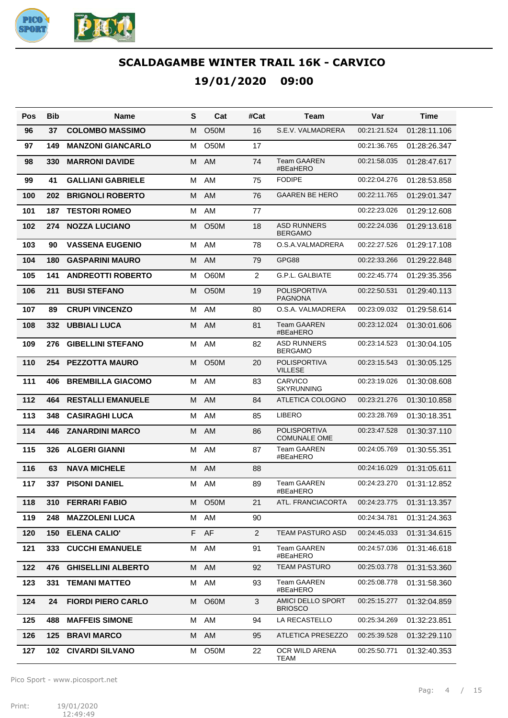

| Pos | Bib | <b>Name</b>               | S  | Cat               | #Cat           | Team                                       | Var          | Time         |
|-----|-----|---------------------------|----|-------------------|----------------|--------------------------------------------|--------------|--------------|
| 96  | 37  | <b>COLOMBO MASSIMO</b>    | м  | <b>O50M</b>       | 16             | S.E.V. VALMADRERA                          | 00:21:21.524 | 01:28:11.106 |
| 97  | 149 | <b>MANZONI GIANCARLO</b>  | м  | O <sub>5</sub> 0M | 17             |                                            | 00:21:36.765 | 01:28:26.347 |
| 98  | 330 | <b>MARRONI DAVIDE</b>     | м  | AM                | 74             | <b>Team GAAREN</b><br>#BEaHERO             | 00:21:58.035 | 01:28:47.617 |
| 99  | 41  | <b>GALLIANI GABRIELE</b>  | м  | AM                | 75             | <b>FODIPE</b>                              | 00:22:04.276 | 01:28:53.858 |
| 100 | 202 | <b>BRIGNOLI ROBERTO</b>   | M  | AM                | 76             | <b>GAAREN BE HERO</b>                      | 00:22:11.765 | 01:29:01.347 |
| 101 | 187 | <b>TESTORI ROMEO</b>      | м  | AM                | 77             |                                            | 00:22:23.026 | 01:29:12.608 |
| 102 | 274 | <b>NOZZA LUCIANO</b>      | м  | <b>O50M</b>       | 18             | <b>ASD RUNNERS</b><br><b>BERGAMO</b>       | 00:22:24.036 | 01:29:13.618 |
| 103 | 90  | <b>VASSENA EUGENIO</b>    | м  | AM                | 78             | O.S.A.VALMADRERA                           | 00:22:27.526 | 01:29:17.108 |
| 104 | 180 | <b>GASPARINI MAURO</b>    | м  | AM                | 79             | GPG88                                      | 00:22:33.266 | 01:29:22.848 |
| 105 | 141 | <b>ANDREOTTI ROBERTO</b>  | м  | O60M              | $\overline{2}$ | G.P.L. GALBIATE                            | 00:22:45.774 | 01:29:35.356 |
| 106 | 211 | <b>BUSI STEFANO</b>       | м  | <b>O50M</b>       | 19             | <b>POLISPORTIVA</b><br><b>PAGNONA</b>      | 00:22:50.531 | 01:29:40.113 |
| 107 | 89  | <b>CRUPI VINCENZO</b>     | M  | AM                | 80             | O.S.A. VALMADRERA                          | 00:23:09.032 | 01:29:58.614 |
| 108 | 332 | <b>UBBIALI LUCA</b>       | м  | AM                | 81             | <b>Team GAAREN</b><br>#BEaHERO             | 00:23:12.024 | 01:30:01.606 |
| 109 | 276 | <b>GIBELLINI STEFANO</b>  | M  | AM                | 82             | <b>ASD RUNNERS</b><br><b>BERGAMO</b>       | 00:23:14.523 | 01:30:04.105 |
| 110 | 254 | <b>PEZZOTTA MAURO</b>     | м  | <b>O50M</b>       | 20             | <b>POLISPORTIVA</b><br><b>VILLESE</b>      | 00:23:15.543 | 01:30:05.125 |
| 111 | 406 | <b>BREMBILLA GIACOMO</b>  | M  | AM                | 83             | <b>CARVICO</b><br><b>SKYRUNNING</b>        | 00:23:19.026 | 01:30:08.608 |
| 112 | 464 | <b>RESTALLI EMANUELE</b>  | M  | AM                | 84             | ATLETICA COLOGNO                           | 00:23:21.276 | 01:30:10.858 |
| 113 | 348 | <b>CASIRAGHI LUCA</b>     | M  | AM                | 85             | <b>LIBERO</b>                              | 00:23:28.769 | 01:30:18.351 |
| 114 | 446 | <b>ZANARDINI MARCO</b>    | M  | AM                | 86             | <b>POLISPORTIVA</b><br><b>COMUNALE OME</b> | 00:23:47.528 | 01:30:37.110 |
| 115 | 326 | <b>ALGERI GIANNI</b>      | м  | AM                | 87             | <b>Team GAAREN</b><br>#BEaHERO             | 00:24:05.769 | 01:30:55.351 |
| 116 | 63  | <b>NAVA MICHELE</b>       | м  | AM                | 88             |                                            | 00:24:16.029 | 01:31:05.611 |
| 117 | 337 | <b>PISONI DANIEL</b>      | м  | AM                | 89             | <b>Team GAAREN</b><br>#BEaHERO             | 00:24:23.270 | 01:31:12.852 |
| 118 | 310 | <b>FERRARI FABIO</b>      | M  | O <sub>5</sub> 0M | 21             | ATL. FRANCIACORTA                          | 00:24:23.775 | 01:31:13.357 |
| 119 | 248 | <b>MAZZOLENI LUCA</b>     | М  | AM                | 90             |                                            | 00:24:34.781 | 01:31:24.363 |
| 120 | 150 | <b>ELENA CALIO'</b>       | F. | AF                | $\overline{2}$ | <b>TEAM PASTURO ASD</b>                    | 00:24:45.033 | 01:31:34.615 |
| 121 | 333 | <b>CUCCHI EMANUELE</b>    | м  | AM                | 91             | <b>Team GAAREN</b><br>#BEaHERO             | 00:24:57.036 | 01:31:46.618 |
| 122 | 476 | <b>GHISELLINI ALBERTO</b> | M  | AM                | 92             | <b>TEAM PASTURO</b>                        | 00:25:03.778 | 01:31:53.360 |
| 123 | 331 | <b>TEMANI MATTEO</b>      | м  | AM                | 93             | Team GAAREN<br>#BEaHERO                    | 00:25:08.778 | 01:31:58.360 |
| 124 | 24  | <b>FIORDI PIERO CARLO</b> | M  | O60M              | 3              | AMICI DELLO SPORT<br><b>BRIOSCO</b>        | 00:25:15.277 | 01:32:04.859 |
| 125 | 488 | <b>MAFFEIS SIMONE</b>     | M  | AM                | 94             | LA RECASTELLO                              | 00:25:34.269 | 01:32:23.851 |
| 126 | 125 | <b>BRAVI MARCO</b>        | M  | AM                | 95             | ATLETICA PRESEZZO                          | 00:25:39.528 | 01:32:29.110 |
| 127 |     | 102 CIVARDI SILVANO       | м  | O50M              | 22             | OCR WILD ARENA<br>TEAM                     | 00:25:50.771 | 01:32:40.353 |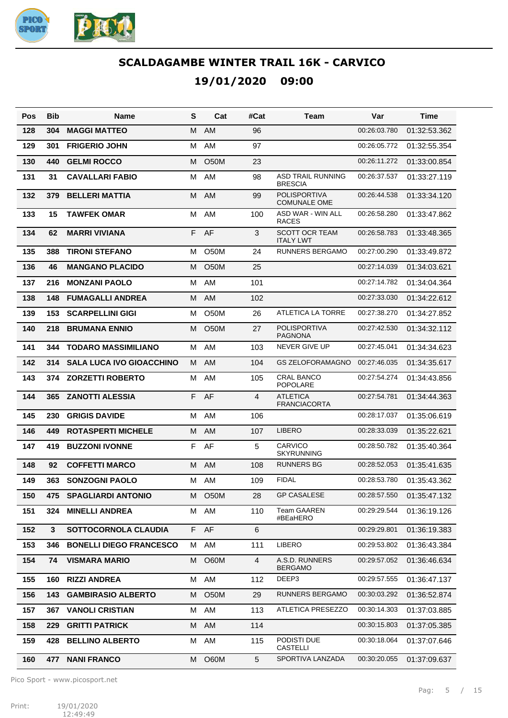

| Pos | Bib | Name                            | S  | Cat               | #Cat | Team                                       | Var          | Time         |
|-----|-----|---------------------------------|----|-------------------|------|--------------------------------------------|--------------|--------------|
| 128 | 304 | <b>MAGGI MATTEO</b>             | М  | AM                | 96   |                                            | 00:26:03.780 | 01:32:53.362 |
| 129 | 301 | <b>FRIGERIO JOHN</b>            | м  | AM                | 97   |                                            | 00:26:05.772 | 01:32:55.354 |
| 130 | 440 | <b>GELMI ROCCO</b>              | м  | <b>O50M</b>       | 23   |                                            | 00:26:11.272 | 01:33:00.854 |
| 131 | 31  | <b>CAVALLARI FABIO</b>          | м  | AM                | 98   | <b>ASD TRAIL RUNNING</b><br><b>BRESCIA</b> | 00:26:37.537 | 01:33:27.119 |
| 132 | 379 | <b>BELLERI MATTIA</b>           | М  | AM                | 99   | <b>POLISPORTIVA</b><br><b>COMUNALE OME</b> | 00:26:44.538 | 01:33:34.120 |
| 133 | 15  | <b>TAWFEK OMAR</b>              | M  | AM                | 100  | ASD WAR - WIN ALL<br><b>RACES</b>          | 00:26:58.280 | 01:33:47.862 |
| 134 | 62  | <b>MARRI VIVIANA</b>            | F  | AF                | 3    | <b>SCOTT OCR TEAM</b><br><b>ITALY LWT</b>  | 00:26:58.783 | 01:33:48.365 |
| 135 | 388 | <b>TIRONI STEFANO</b>           | м  | <b>O50M</b>       | 24   | <b>RUNNERS BERGAMO</b>                     | 00:27:00.290 | 01:33:49.872 |
| 136 | 46  | <b>MANGANO PLACIDO</b>          | М  | <b>O50M</b>       | 25   |                                            | 00:27:14.039 | 01:34:03.621 |
| 137 | 216 | <b>MONZANI PAOLO</b>            | M  | AM                | 101  |                                            | 00:27:14.782 | 01:34:04.364 |
| 138 | 148 | <b>FUMAGALLI ANDREA</b>         | м  | AM                | 102  |                                            | 00:27:33.030 | 01:34:22.612 |
| 139 | 153 | <b>SCARPELLINI GIGI</b>         | м  | <b>O50M</b>       | 26   | ATLETICA LA TORRE                          | 00:27:38.270 | 01:34:27.852 |
| 140 | 218 | <b>BRUMANA ENNIO</b>            | М  | O <sub>50</sub> M | 27   | <b>POLISPORTIVA</b><br><b>PAGNONA</b>      | 00:27:42.530 | 01:34:32.112 |
| 141 | 344 | <b>TODARO MASSIMILIANO</b>      | м  | AM                | 103  | <b>NEVER GIVE UP</b>                       | 00:27:45.041 | 01:34:34.623 |
| 142 | 314 | <b>SALA LUCA IVO GIOACCHINO</b> | M  | <b>AM</b>         | 104  | <b>GS ZELOFORAMAGNO</b>                    | 00:27:46.035 | 01:34:35.617 |
| 143 | 374 | <b>ZORZETTI ROBERTO</b>         | м  | AM                | 105  | <b>CRAL BANCO</b><br><b>POPOLARE</b>       | 00:27:54.274 | 01:34:43.856 |
| 144 | 365 | <b>ZANOTTI ALESSIA</b>          | F  | AF                | 4    | <b>ATLETICA</b><br><b>FRANCIACORTA</b>     | 00:27:54.781 | 01:34:44.363 |
| 145 | 230 | <b>GRIGIS DAVIDE</b>            | M  | AM                | 106  |                                            | 00:28:17.037 | 01:35:06.619 |
| 146 | 449 | <b>ROTASPERTI MICHELE</b>       | м  | AM                | 107  | <b>LIBERO</b>                              | 00:28:33.039 | 01:35:22.621 |
| 147 | 419 | <b>BUZZONI IVONNE</b>           | F  | AF                | 5    | <b>CARVICO</b><br><b>SKYRUNNING</b>        | 00:28:50.782 | 01:35:40.364 |
| 148 | 92  | <b>COFFETTI MARCO</b>           | M  | AM                | 108  | <b>RUNNERS BG</b>                          | 00:28:52.053 | 01:35:41.635 |
| 149 | 363 | <b>SONZOGNI PAOLO</b>           | м  | AM                | 109  | <b>FIDAL</b>                               | 00:28:53.780 | 01:35:43.362 |
| 150 | 475 | <b>SPAGLIARDI ANTONIO</b>       |    | M O50M            | 28   | <b>GP CASALESE</b>                         | 00:28:57.550 | 01:35:47.132 |
| 151 | 324 | <b>MINELLI ANDREA</b>           | м  | AM                | 110  | <b>Team GAAREN</b><br>#BEaHERO             | 00:29:29.544 | 01:36:19.126 |
| 152 | 3   | SOTTOCORNOLA CLAUDIA            | F. | AF                | 6    |                                            | 00:29:29.801 | 01:36:19.383 |
| 153 | 346 | <b>BONELLI DIEGO FRANCESCO</b>  | м  | AM                | 111  | <b>LIBERO</b>                              | 00:29:53.802 | 01:36:43.384 |
| 154 | 74  | <b>VISMARA MARIO</b>            | м  | <b>O60M</b>       | 4    | A.S.D. RUNNERS<br><b>BERGAMO</b>           | 00:29:57.052 | 01:36:46.634 |
| 155 | 160 | <b>RIZZI ANDREA</b>             | М  | AM                | 112  | DEEP3                                      | 00:29:57.555 | 01:36:47.137 |
| 156 | 143 | <b>GAMBIRASIO ALBERTO</b>       | м  | O <sub>5</sub> 0M | 29   | RUNNERS BERGAMO                            | 00:30:03.292 | 01:36:52.874 |
| 157 | 367 | <b>VANOLI CRISTIAN</b>          | М  | AM                | 113  | ATLETICA PRESEZZO                          | 00:30:14.303 | 01:37:03.885 |
| 158 | 229 | <b>GRITTI PATRICK</b>           | М  | AM                | 114  |                                            | 00:30:15.803 | 01:37:05.385 |
| 159 | 428 | <b>BELLINO ALBERTO</b>          | м  | AM                | 115  | PODISTI DUE<br><b>CASTELLI</b>             | 00:30:18.064 | 01:37:07.646 |
| 160 | 477 | <b>NANI FRANCO</b>              | М  | O60M              | 5    | SPORTIVA LANZADA                           | 00:30:20.055 | 01:37:09.637 |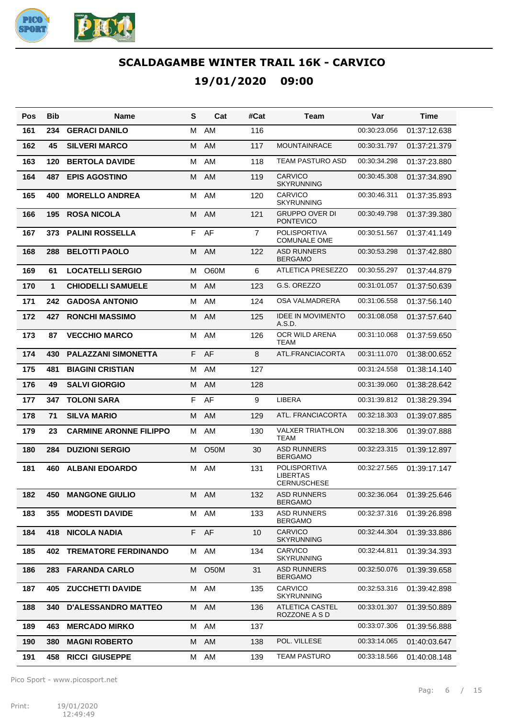

| Pos | Bib          | <b>Name</b>                   | S | Cat         | #Cat           | Team                                                         | Var          | Time         |
|-----|--------------|-------------------------------|---|-------------|----------------|--------------------------------------------------------------|--------------|--------------|
| 161 | 234          | <b>GERACI DANILO</b>          | м | AM          | 116            |                                                              | 00:30:23.056 | 01:37:12.638 |
| 162 | 45           | <b>SILVERI MARCO</b>          | м | AM          | 117            | <b>MOUNTAINRACE</b>                                          | 00:30:31.797 | 01:37:21.379 |
| 163 | 120          | <b>BERTOLA DAVIDE</b>         | м | AM          | 118            | TEAM PASTURO ASD                                             | 00:30:34.298 | 01:37:23.880 |
| 164 | 487          | <b>EPIS AGOSTINO</b>          | м | AM          | 119            | <b>CARVICO</b><br><b>SKYRUNNING</b>                          | 00:30:45.308 | 01:37:34.890 |
| 165 | 400          | <b>MORELLO ANDREA</b>         | M | AM          | 120            | <b>CARVICO</b><br><b>SKYRUNNING</b>                          | 00:30:46.311 | 01:37:35.893 |
| 166 | 195          | <b>ROSA NICOLA</b>            | M | AM          | 121            | <b>GRUPPO OVER DI</b><br><b>PONTEVICO</b>                    | 00:30:49.798 | 01:37:39.380 |
| 167 | 373          | <b>PALINI ROSSELLA</b>        | F | AF          | $\overline{7}$ | <b>POLISPORTIVA</b><br><b>COMUNALE OME</b>                   | 00:30:51.567 | 01:37:41.149 |
| 168 | 288          | <b>BELOTTI PAOLO</b>          | M | AM          | 122            | <b>ASD RUNNERS</b><br><b>BERGAMO</b>                         | 00:30:53.298 | 01:37:42.880 |
| 169 | 61           | <b>LOCATELLI SERGIO</b>       | M | O60M        | 6              | <b>ATLETICA PRESEZZO</b>                                     | 00:30:55.297 | 01:37:44.879 |
| 170 | $\mathbf{1}$ | <b>CHIODELLI SAMUELE</b>      | M | AM          | 123            | G.S. OREZZO                                                  | 00:31:01.057 | 01:37:50.639 |
| 171 | 242          | <b>GADOSA ANTONIO</b>         | M | AM          | 124            | <b>OSA VALMADRERA</b>                                        | 00:31:06.558 | 01:37:56.140 |
| 172 | 427          | <b>RONCHI MASSIMO</b>         | M | AM          | 125            | <b>IDEE IN MOVIMENTO</b><br>A.S.D.                           | 00:31:08.058 | 01:37:57.640 |
| 173 | 87           | <b>VECCHIO MARCO</b>          | м | AM          | 126            | OCR WILD ARENA<br><b>TEAM</b>                                | 00:31:10.068 | 01:37:59.650 |
| 174 | 430          | <b>PALAZZANI SIMONETTA</b>    | F | AF          | 8              | ATL.FRANCIACORTA                                             | 00:31:11.070 | 01:38:00.652 |
| 175 | 481          | <b>BIAGINI CRISTIAN</b>       | M | AM          | 127            |                                                              | 00:31:24.558 | 01:38:14.140 |
| 176 | 49           | <b>SALVI GIORGIO</b>          | M | AM          | 128            |                                                              | 00:31:39.060 | 01:38:28.642 |
| 177 | 347          | <b>TOLONI SARA</b>            | F | AF          | 9              | <b>LIBERA</b>                                                | 00:31:39.812 | 01:38:29.394 |
| 178 | 71           | <b>SILVA MARIO</b>            | M | AM          | 129            | ATL. FRANCIACORTA                                            | 00:32:18.303 | 01:39:07.885 |
| 179 | 23           | <b>CARMINE ARONNE FILIPPO</b> | м | AM          | 130            | <b>VALXER TRIATHLON</b><br><b>TEAM</b>                       | 00:32:18.306 | 01:39:07.888 |
| 180 | 284          | <b>DUZIONI SERGIO</b>         | M | <b>O50M</b> | 30             | <b>ASD RUNNERS</b><br><b>BERGAMO</b>                         | 00:32:23.315 | 01:39:12.897 |
| 181 | 460          | <b>ALBANI EDOARDO</b>         | м | AM          | 131            | <b>POLISPORTIVA</b><br><b>LIBERTAS</b><br><b>CERNUSCHESE</b> | 00:32:27.565 | 01:39:17.147 |
| 182 | 450          | <b>MANGONE GIULIO</b>         |   | M AM        | 132            | <b>ASD RUNNERS</b><br><b>BERGAMO</b>                         | 00:32:36.064 | 01:39:25.646 |
| 183 | 355          | <b>MODESTI DAVIDE</b>         | M | AM          | 133            | <b>ASD RUNNERS</b><br><b>BERGAMO</b>                         | 00:32:37.316 | 01:39:26.898 |
| 184 | 418          | <b>NICOLA NADIA</b>           |   | F AF        | 10             | <b>CARVICO</b><br><b>SKYRUNNING</b>                          | 00:32:44.304 | 01:39:33.886 |
| 185 | 402          | <b>TREMATORE FERDINANDO</b>   | M | AM          | 134            | <b>CARVICO</b><br><b>SKYRUNNING</b>                          | 00:32:44.811 | 01:39:34.393 |
| 186 | 283          | <b>FARANDA CARLO</b>          | м | O50M        | 31             | <b>ASD RUNNERS</b><br><b>BERGAMO</b>                         | 00:32:50.076 | 01:39:39.658 |
| 187 | 405          | <b>ZUCCHETTI DAVIDE</b>       | М | AM          | 135            | CARVICO<br><b>SKYRUNNING</b>                                 | 00:32:53.316 | 01:39:42.898 |
| 188 | 340          | <b>D'ALESSANDRO MATTEO</b>    |   | M AM        | 136            | ATLETICA CASTEL<br>ROZZONE A S D                             | 00:33:01.307 | 01:39:50.889 |
| 189 | 463          | <b>MERCADO MIRKO</b>          |   | M AM        | 137            |                                                              | 00:33:07.306 | 01:39:56.888 |
| 190 | 380          | <b>MAGNI ROBERTO</b>          |   | M AM        | 138            | POL. VILLESE                                                 | 00:33:14.065 | 01:40:03.647 |
| 191 | 458          | <b>RICCI GIUSEPPE</b>         |   | M AM        | 139            | <b>TEAM PASTURO</b>                                          | 00:33:18.566 | 01:40:08.148 |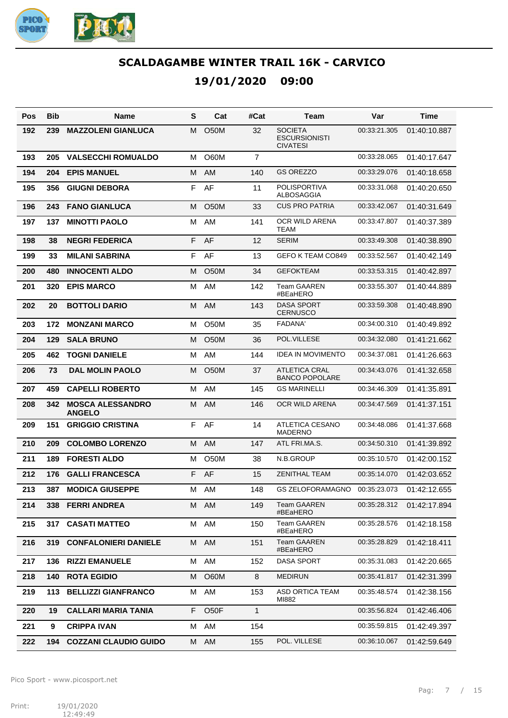

#### **19/01/2020 09:00**

| Pos | <b>Bib</b> | Name                                     | S  | Cat               | #Cat         | Team                                                      | Var          | Time         |
|-----|------------|------------------------------------------|----|-------------------|--------------|-----------------------------------------------------------|--------------|--------------|
| 192 | 239        | <b>MAZZOLENI GIANLUCA</b>                | м  | <b>O50M</b>       | 32           | <b>SOCIETA</b><br><b>ESCURSIONISTI</b><br><b>CIVATESI</b> | 00:33:21.305 | 01:40:10.887 |
| 193 | 205        | <b>VALSECCHI ROMUALDO</b>                | м  | O60M              | 7            |                                                           | 00:33:28.065 | 01:40:17.647 |
| 194 | 204        | <b>EPIS MANUEL</b>                       | м  | AM                | 140          | <b>GS OREZZO</b>                                          | 00:33:29.076 | 01:40:18.658 |
| 195 | 356        | <b>GIUGNI DEBORA</b>                     | F  | AF                | 11           | POLISPORTIVA<br>ALBOSAGGIA                                | 00:33:31.068 | 01:40:20.650 |
| 196 | 243        | <b>FANO GIANLUCA</b>                     | м  | <b>O50M</b>       | 33           | <b>CUS PRO PATRIA</b>                                     | 00:33:42.067 | 01:40:31.649 |
| 197 | 137        | <b>MINOTTI PAOLO</b>                     | м  | AM                | 141          | OCR WILD ARENA<br>TEAM                                    | 00:33:47.807 | 01:40:37.389 |
| 198 | 38         | <b>NEGRI FEDERICA</b>                    | F  | AF                | 12           | <b>SERIM</b>                                              | 00:33:49.308 | 01:40:38.890 |
| 199 | 33         | <b>MILANI SABRINA</b>                    | F  | AF                | 13           | GEFO K TEAM CO849                                         | 00:33:52.567 | 01:40:42.149 |
| 200 | 480        | <b>INNOCENTI ALDO</b>                    | М  | <b>O50M</b>       | 34           | <b>GEFOKTEAM</b>                                          | 00:33:53.315 | 01:40:42.897 |
| 201 | 320        | <b>EPIS MARCO</b>                        | м  | AM                | 142          | <b>Team GAAREN</b><br>#BEaHERO                            | 00:33:55.307 | 01:40:44.889 |
| 202 | 20         | <b>BOTTOLI DARIO</b>                     | м  | AM                | 143          | <b>DASA SPORT</b><br><b>CERNUSCO</b>                      | 00:33:59.308 | 01:40:48.890 |
| 203 | 172        | <b>MONZANI MARCO</b>                     | м  | <b>O50M</b>       | 35           | <b>FADANA'</b>                                            | 00:34:00.310 | 01:40:49.892 |
| 204 | 129        | <b>SALA BRUNO</b>                        | м  | <b>O50M</b>       | 36           | POL.VILLESE                                               | 00:34:32.080 | 01:41:21.662 |
| 205 | 462        | <b>TOGNI DANIELE</b>                     | м  | AM                | 144          | <b>IDEA IN MOVIMENTO</b>                                  | 00:34:37.081 | 01:41:26.663 |
| 206 | 73         | <b>DAL MOLIN PAOLO</b>                   | м  | O50M              | 37           | <b>ATLETICA CRAL</b><br><b>BANCO POPOLARE</b>             | 00:34:43.076 | 01:41:32.658 |
| 207 | 459        | <b>CAPELLI ROBERTO</b>                   | м  | AM                | 145          | <b>GS MARINELLI</b>                                       | 00:34:46.309 | 01:41:35.891 |
| 208 | 342        | <b>MOSCA ALESSANDRO</b><br><b>ANGELO</b> | м  | <b>AM</b>         | 146          | OCR WILD ARENA                                            | 00:34:47.569 | 01:41:37.151 |
| 209 | 151        | <b>GRIGGIO CRISTINA</b>                  | F  | AF                | 14           | <b>ATLETICA CESANO</b><br><b>MADERNO</b>                  | 00:34:48.086 | 01:41:37.668 |
| 210 | 209        | <b>COLOMBO LORENZO</b>                   | м  | AM                | 147          | ATL FRI.MA.S.                                             | 00:34:50.310 | 01:41:39.892 |
| 211 | 189        | <b>FORESTI ALDO</b>                      | м  | O <sub>5</sub> 0M | 38           | N.B.GROUP                                                 | 00:35:10.570 | 01:42:00.152 |
| 212 | 176        | <b>GALLI FRANCESCA</b>                   | F  | AF                | 15           | <b>ZENITHAL TEAM</b>                                      | 00:35:14.070 | 01:42:03.652 |
| 213 | 387        | <b>MODICA GIUSEPPE</b>                   | М  | AM                | 148          | GS ZELOFORAMAGNO                                          | 00:35:23.073 | 01:42:12.655 |
| 214 | 338        | <b>FERRI ANDREA</b>                      |    | M AM              | 149          | Team GAAREN<br>#BEaHERO                                   | 00:35:28.312 | 01:42:17.894 |
| 215 | 317        | <b>CASATI MATTEO</b>                     | M  | AM                | 150          | <b>Team GAAREN</b><br>#BEaHERO                            | 00:35:28.576 | 01:42:18.158 |
| 216 | 319        | <b>CONFALONIERI DANIELE</b>              | M  | AM                | 151          | <b>Team GAAREN</b><br>#BEaHERO                            | 00:35:28.829 | 01:42:18.411 |
| 217 | 136        | <b>RIZZI EMANUELE</b>                    | М  | AM                | 152          | <b>DASA SPORT</b>                                         | 00:35:31.083 | 01:42:20.665 |
| 218 | 140        | <b>ROTA EGIDIO</b>                       | M  | O60M              | 8            | <b>MEDIRUN</b>                                            | 00:35:41.817 | 01:42:31.399 |
| 219 | 113        | <b>BELLIZZI GIANFRANCO</b>               | М  | AM                | 153          | <b>ASD ORTICA TEAM</b><br>MI882                           | 00:35:48.574 | 01:42:38.156 |
| 220 | 19         | <b>CALLARI MARIA TANIA</b>               | F. | O <sub>5</sub> OF | $\mathbf{1}$ |                                                           | 00:35:56.824 | 01:42:46.406 |
| 221 | 9          | <b>CRIPPA IVAN</b>                       | М  | AM                | 154          |                                                           | 00:35:59.815 | 01:42:49.397 |
| 222 | 194        | <b>COZZANI CLAUDIO GUIDO</b>             |    | M AM              | 155          | POL. VILLESE                                              | 00:36:10.067 | 01:42:59.649 |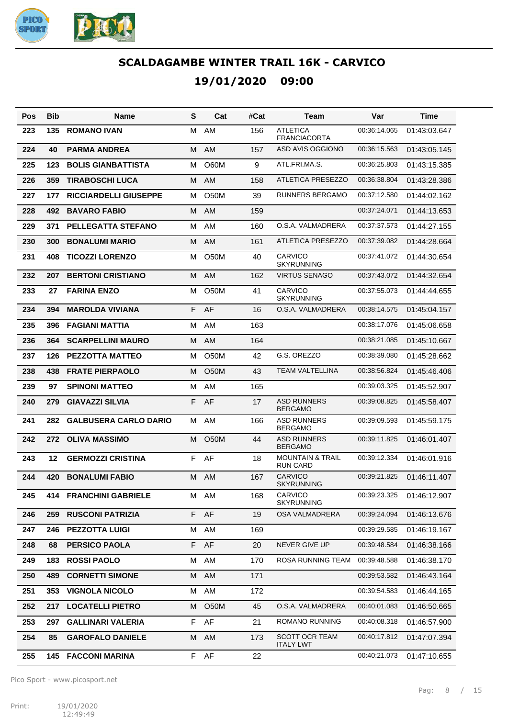

| Pos | Bib | Name                          | S  | Cat               | #Cat | Team                                           | Var          | Time         |
|-----|-----|-------------------------------|----|-------------------|------|------------------------------------------------|--------------|--------------|
| 223 | 135 | <b>ROMANO IVAN</b>            | м  | AM                | 156  | <b>ATLETICA</b><br><b>FRANCIACORTA</b>         | 00:36:14.065 | 01:43:03.647 |
| 224 | 40  | <b>PARMA ANDREA</b>           | M  | AM                | 157  | ASD AVIS OGGIONO                               | 00:36:15.563 | 01:43:05.145 |
| 225 | 123 | <b>BOLIS GIANBATTISTA</b>     | м  | <b>O60M</b>       | 9    | ATL.FRI.MA.S.                                  | 00:36:25.803 | 01:43:15.385 |
| 226 | 359 | <b>TIRABOSCHI LUCA</b>        | M  | AM                | 158  | ATLETICA PRESEZZO                              | 00:36:38.804 | 01:43:28.386 |
| 227 | 177 | <b>RICCIARDELLI GIUSEPPE</b>  | м  | O <sub>5</sub> 0M | 39   | <b>RUNNERS BERGAMO</b>                         | 00:37:12.580 | 01:44:02.162 |
| 228 | 492 | <b>BAVARO FABIO</b>           | M  | AM                | 159  |                                                | 00:37:24.071 | 01:44:13.653 |
| 229 | 371 | <b>PELLEGATTA STEFANO</b>     | M  | AM                | 160  | O.S.A. VALMADRERA                              | 00:37:37.573 | 01:44:27.155 |
| 230 | 300 | <b>BONALUMI MARIO</b>         | M  | AM                | 161  | <b>ATLETICA PRESEZZO</b>                       | 00:37:39.082 | 01:44:28.664 |
| 231 | 408 | <b>TICOZZI LORENZO</b>        | м  | <b>O50M</b>       | 40   | CARVICO<br><b>SKYRUNNING</b>                   | 00:37:41.072 | 01:44:30.654 |
| 232 | 207 | <b>BERTONI CRISTIANO</b>      | M  | <b>AM</b>         | 162  | <b>VIRTUS SENAGO</b>                           | 00:37:43.072 | 01:44:32.654 |
| 233 | 27  | <b>FARINA ENZO</b>            | M  | O50M              | 41   | CARVICO<br><b>SKYRUNNING</b>                   | 00:37:55.073 | 01:44:44.655 |
| 234 | 394 | <b>MAROLDA VIVIANA</b>        | F  | AF                | 16   | O.S.A. VALMADRERA                              | 00:38:14.575 | 01:45:04.157 |
| 235 | 396 | <b>FAGIANI MATTIA</b>         | м  | AM                | 163  |                                                | 00:38:17.076 | 01:45:06.658 |
| 236 | 364 | <b>SCARPELLINI MAURO</b>      | м  | <b>AM</b>         | 164  |                                                | 00:38:21.085 | 01:45:10.667 |
| 237 | 126 | <b>PEZZOTTA MATTEO</b>        | м  | <b>O50M</b>       | 42   | G.S. OREZZO                                    | 00:38:39.080 | 01:45:28.662 |
| 238 | 438 | <b>FRATE PIERPAOLO</b>        | М  | <b>O50M</b>       | 43   | TEAM VALTELLINA                                | 00:38:56.824 | 01:45:46.406 |
| 239 | 97  | <b>SPINONI MATTEO</b>         | м  | AM                | 165  |                                                | 00:39:03.325 | 01:45:52.907 |
| 240 | 279 | <b>GIAVAZZI SILVIA</b>        | F  | AF                | 17   | <b>ASD RUNNERS</b><br><b>BERGAMO</b>           | 00:39:08.825 | 01:45:58.407 |
| 241 | 282 | <b>GALBUSERA CARLO DARIO</b>  | м  | AM                | 166  | <b>ASD RUNNERS</b><br><b>BERGAMO</b>           | 00:39:09.593 | 01:45:59.175 |
| 242 | 272 | <b>OLIVA MASSIMO</b>          | M  | <b>O50M</b>       | 44   | <b>ASD RUNNERS</b><br><b>BERGAMO</b>           | 00:39:11.825 | 01:46:01.407 |
| 243 | 12  | <b>GERMOZZI CRISTINA</b>      | F  | AF                | 18   | <b>MOUNTAIN &amp; TRAIL</b><br><b>RUN CARD</b> | 00:39:12.334 | 01:46:01.916 |
| 244 | 420 | <b>BONALUMI FABIO</b>         | M  | <b>AM</b>         | 167  | CARVICO<br><b>SKYRUNNING</b>                   | 00:39:21.825 | 01:46:11.407 |
| 245 |     | <b>414 FRANCHINI GABRIELE</b> |    | M AM              | 168  | CARVICO<br><b>SKYRUNNING</b>                   | 00:39:23.325 | 01:46:12.907 |
| 246 | 259 | <b>RUSCONI PATRIZIA</b>       | F. | AF                | 19   | OSA VALMADRERA                                 | 00:39:24.094 | 01:46:13.676 |
| 247 | 246 | <b>PEZZOTTA LUIGI</b>         | М  | AM                | 169  |                                                | 00:39:29.585 | 01:46:19.167 |
| 248 | 68  | <b>PERSICO PAOLA</b>          | F  | AF                | 20   | NEVER GIVE UP                                  | 00:39:48.584 | 01:46:38.166 |
| 249 | 183 | <b>ROSSI PAOLO</b>            | М  | AM                | 170  | ROSA RUNNING TEAM                              | 00:39:48.588 | 01:46:38.170 |
| 250 | 489 | <b>CORNETTI SIMONE</b>        | M  | AM                | 171  |                                                | 00:39:53.582 | 01:46:43.164 |
| 251 | 353 | <b>VIGNOLA NICOLO</b>         | М  | AM                | 172  |                                                | 00:39:54.583 | 01:46:44.165 |
| 252 | 217 | <b>LOCATELLI PIETRO</b>       | м  | O <sub>5</sub> 0M | 45   | O.S.A. VALMADRERA                              | 00:40:01.083 | 01:46:50.665 |
| 253 | 297 | <b>GALLINARI VALERIA</b>      | F  | AF                | 21   | ROMANO RUNNING                                 | 00:40:08.318 | 01:46:57.900 |
| 254 | 85  | <b>GAROFALO DANIELE</b>       | м  | AM                | 173  | <b>SCOTT OCR TEAM</b><br><b>ITALY LWT</b>      | 00:40:17.812 | 01:47:07.394 |
| 255 |     | <b>145 FACCONI MARINA</b>     |    | F AF              | 22   |                                                | 00:40:21.073 | 01:47:10.655 |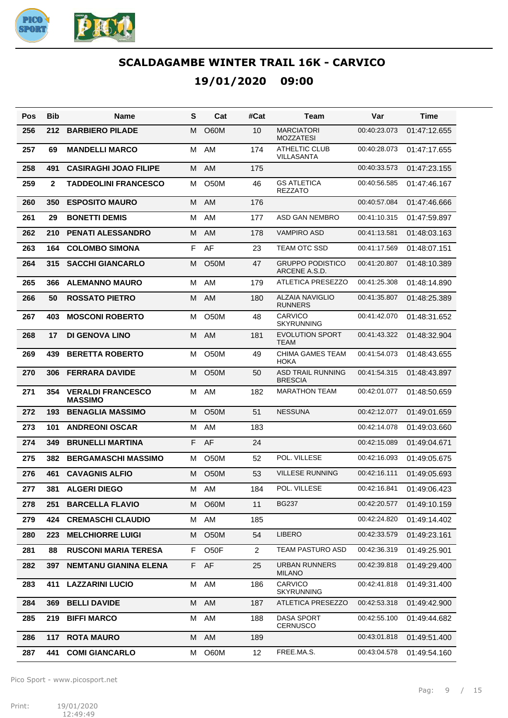

| Pos | Bib          | Name                                       | S  | Cat               | #Cat           | Team                                       | Var          | Time         |
|-----|--------------|--------------------------------------------|----|-------------------|----------------|--------------------------------------------|--------------|--------------|
| 256 | 212          | <b>BARBIERO PILADE</b>                     | м  | <b>O60M</b>       | 10             | <b>MARCIATORI</b><br><b>MOZZATESI</b>      | 00:40:23.073 | 01:47:12.655 |
| 257 | 69           | <b>MANDELLI MARCO</b>                      | м  | AM                | 174            | ATHELTIC CLUB<br><b>VILLASANTA</b>         | 00:40:28.073 | 01:47:17.655 |
| 258 | 491          | <b>CASIRAGHI JOAO FILIPE</b>               | м  | AM                | 175            |                                            | 00:40:33.573 | 01:47:23.155 |
| 259 | $\mathbf{2}$ | <b>TADDEOLINI FRANCESCO</b>                | м  | <b>O50M</b>       | 46             | <b>GS ATLETICA</b><br><b>REZZATO</b>       | 00:40:56.585 | 01:47:46.167 |
| 260 | 350          | <b>ESPOSITO MAURO</b>                      | м  | AM                | 176            |                                            | 00:40:57.084 | 01:47:46.666 |
| 261 | 29           | <b>BONETTI DEMIS</b>                       | м  | AM                | 177            | ASD GAN NEMBRO                             | 00:41:10.315 | 01:47:59.897 |
| 262 | 210          | <b>PENATI ALESSANDRO</b>                   | м  | AM                | 178            | <b>VAMPIRO ASD</b>                         | 00:41:13.581 | 01:48:03.163 |
| 263 | 164          | <b>COLOMBO SIMONA</b>                      | F  | AF                | 23             | TEAM OTC SSD                               | 00:41:17.569 | 01:48:07.151 |
| 264 | 315          | <b>SACCHI GIANCARLO</b>                    | м  | O <sub>5</sub> 0M | 47             | <b>GRUPPO PODISTICO</b><br>ARCENE A.S.D.   | 00:41:20.807 | 01:48:10.389 |
| 265 | 366          | <b>ALEMANNO MAURO</b>                      | M  | AM                | 179            | <b>ATLETICA PRESEZZO</b>                   | 00:41:25.308 | 01:48:14.890 |
| 266 | 50           | <b>ROSSATO PIETRO</b>                      | м  | AM                | 180            | <b>ALZAIA NAVIGLIO</b><br><b>RUNNERS</b>   | 00:41:35.807 | 01:48:25.389 |
| 267 | 403          | <b>MOSCONI ROBERTO</b>                     | м  | <b>O50M</b>       | 48             | CARVICO<br><b>SKYRUNNING</b>               | 00:41:42.070 | 01:48:31.652 |
| 268 | 17           | <b>DI GENOVA LINO</b>                      | м  | AM                | 181            | <b>EVOLUTION SPORT</b><br><b>TEAM</b>      | 00:41:43.322 | 01:48:32.904 |
| 269 | 439          | <b>BERETTA ROBERTO</b>                     | м  | O <sub>50</sub> M | 49             | <b>CHIMA GAMES TEAM</b><br><b>HOKA</b>     | 00:41:54.073 | 01:48:43.655 |
| 270 | 306          | <b>FERRARA DAVIDE</b>                      | м  | <b>O50M</b>       | 50             | <b>ASD TRAIL RUNNING</b><br><b>BRESCIA</b> | 00:41:54.315 | 01:48:43.897 |
| 271 | 354          | <b>VERALDI FRANCESCO</b><br><b>MASSIMO</b> | м  | AM                | 182            | <b>MARATHON TEAM</b>                       | 00:42:01.077 | 01:48:50.659 |
| 272 | 193          | <b>BENAGLIA MASSIMO</b>                    | м  | <b>O50M</b>       | 51             | <b>NESSUNA</b>                             | 00:42:12.077 | 01:49:01.659 |
| 273 | 101          | <b>ANDREONI OSCAR</b>                      | м  | AM                | 183            |                                            | 00:42:14.078 | 01:49:03.660 |
| 274 | 349          | <b>BRUNELLI MARTINA</b>                    | F  | AF                | 24             |                                            | 00:42:15.089 | 01:49:04.671 |
| 275 | 382          | <b>BERGAMASCHI MASSIMO</b>                 | м  | O <sub>5</sub> 0M | 52             | POL. VILLESE                               | 00:42:16.093 | 01:49:05.675 |
| 276 | 461          | <b>CAVAGNIS ALFIO</b>                      | м  | O <sub>5</sub> 0M | 53             | <b>VILLESE RUNNING</b>                     | 00:42:16.111 | 01:49:05.693 |
| 277 | 381          | <b>ALGERI DIEGO</b>                        | м  | AM                | 184            | POL. VILLESE                               | 00:42:16.841 | 01:49:06.423 |
| 278 | 251          | <b>BARCELLA FLAVIO</b>                     | м  | <b>O60M</b>       | 11             | BG237                                      | 00:42:20.577 | 01:49:10.159 |
| 279 | 424          | <b>CREMASCHI CLAUDIO</b>                   | м  | AM                | 185            |                                            | 00:42:24.820 | 01:49:14.402 |
| 280 | 223          | <b>MELCHIORRE LUIGI</b>                    | м  | <b>O50M</b>       | 54             | <b>LIBERO</b>                              | 00:42:33.579 | 01:49:23.161 |
| 281 | 88           | <b>RUSCONI MARIA TERESA</b>                | F  | O <sub>5</sub> OF | $\overline{2}$ | <b>TEAM PASTURO ASD</b>                    | 00:42:36.319 | 01:49:25.901 |
| 282 | 397          | <b>NEMTANU GIANINA ELENA</b>               | F. | AF                | 25             | URBAN RUNNERS<br><b>MILANO</b>             | 00:42:39.818 | 01:49:29.400 |
| 283 | 411          | <b>LAZZARINI LUCIO</b>                     | м  | AM                | 186            | <b>CARVICO</b><br><b>SKYRUNNING</b>        | 00:42:41.818 | 01:49:31.400 |
| 284 | 369          | <b>BELLI DAVIDE</b>                        | М  | AM                | 187            | ATLETICA PRESEZZO                          | 00:42:53.318 | 01:49:42.900 |
| 285 | 219          | <b>BIFFI MARCO</b>                         | М  | AM                | 188            | DASA SPORT<br><b>CERNUSCO</b>              | 00:42:55.100 | 01:49:44.682 |
| 286 | 117          | <b>ROTA MAURO</b>                          | М  | AM                | 189            |                                            | 00:43:01.818 | 01:49:51.400 |
| 287 | 441          | <b>COMI GIANCARLO</b>                      | м  | O60M              | 12             | FREE.MA.S.                                 | 00:43:04.578 | 01:49:54.160 |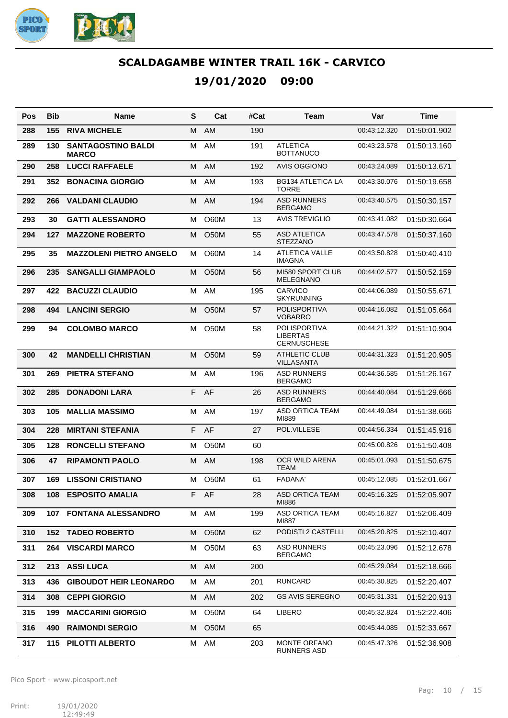

| Pos | <b>Bib</b> | Name                                      | S  | Cat               | #Cat | Team                                                  | Var          | Time         |
|-----|------------|-------------------------------------------|----|-------------------|------|-------------------------------------------------------|--------------|--------------|
| 288 | 155        | <b>RIVA MICHELE</b>                       | M  | AM                | 190  |                                                       | 00:43:12.320 | 01:50:01.902 |
| 289 | 130        | <b>SANTAGOSTINO BALDI</b><br><b>MARCO</b> | м  | AM                | 191  | <b>ATLETICA</b><br><b>BOTTANUCO</b>                   | 00:43:23.578 | 01:50:13.160 |
| 290 | 258        | <b>LUCCI RAFFAELE</b>                     | M  | AM                | 192  | AVIS OGGIONO                                          | 00:43:24.089 | 01:50:13.671 |
| 291 | 352        | <b>BONACINA GIORGIO</b>                   | M  | AM                | 193  | <b>BG134 ATLETICA LA</b><br><b>TORRE</b>              | 00:43:30.076 | 01:50:19.658 |
| 292 | 266        | <b>VALDANI CLAUDIO</b>                    | M  | AM                | 194  | <b>ASD RUNNERS</b><br><b>BERGAMO</b>                  | 00:43:40.575 | 01:50:30.157 |
| 293 | 30         | <b>GATTI ALESSANDRO</b>                   | м  | <b>O60M</b>       | 13   | <b>AVIS TREVIGLIO</b>                                 | 00:43:41.082 | 01:50:30.664 |
| 294 | 127        | <b>MAZZONE ROBERTO</b>                    | М  | <b>O50M</b>       | 55   | <b>ASD ATLETICA</b><br><b>STEZZANO</b>                | 00:43:47.578 | 01:50:37.160 |
| 295 | 35         | <b>MAZZOLENI PIETRO ANGELO</b>            | м  | O60M              | 14   | <b>ATLETICA VALLE</b><br><b>IMAGNA</b>                | 00:43:50.828 | 01:50:40.410 |
| 296 | 235        | <b>SANGALLI GIAMPAOLO</b>                 | м  | <b>O50M</b>       | 56   | MI580 SPORT CLUB<br><b>MELEGNANO</b>                  | 00:44:02.577 | 01:50:52.159 |
| 297 | 422        | <b>BACUZZI CLAUDIO</b>                    | M  | AM                | 195  | <b>CARVICO</b><br><b>SKYRUNNING</b>                   | 00:44:06.089 | 01:50:55.671 |
| 298 | 494        | <b>LANCINI SERGIO</b>                     | м  | <b>O50M</b>       | 57   | <b>POLISPORTIVA</b><br><b>VOBARRO</b>                 | 00:44:16.082 | 01:51:05.664 |
| 299 | 94         | <b>COLOMBO MARCO</b>                      | м  | O <sub>5</sub> 0M | 58   | POLISPORTIVA<br><b>LIBERTAS</b><br><b>CERNUSCHESE</b> | 00:44:21.322 | 01:51:10.904 |
| 300 | 42         | <b>MANDELLI CHRISTIAN</b>                 | м  | <b>O50M</b>       | 59   | <b>ATHLETIC CLUB</b><br><b>VILLASANTA</b>             | 00:44:31.323 | 01:51:20.905 |
| 301 | 269        | <b>PIETRA STEFANO</b>                     | M  | AM                | 196  | <b>ASD RUNNERS</b><br><b>BERGAMO</b>                  | 00:44:36.585 | 01:51:26.167 |
| 302 | 285        | <b>DONADONI LARA</b>                      | F  | AF                | 26   | <b>ASD RUNNERS</b><br><b>BERGAMO</b>                  | 00:44:40.084 | 01:51:29.666 |
| 303 | 105        | <b>MALLIA MASSIMO</b>                     | M  | AM                | 197  | <b>ASD ORTICA TEAM</b><br>MI889                       | 00:44:49.084 | 01:51:38.666 |
| 304 | 228        | <b>MIRTANI STEFANIA</b>                   | F  | AF                | 27   | POL.VILLESE                                           | 00:44:56.334 | 01:51:45.916 |
| 305 | 128        | <b>RONCELLI STEFANO</b>                   | M  | O50M              | 60   |                                                       | 00:45:00.826 | 01:51:50.408 |
| 306 | 47         | <b>RIPAMONTI PAOLO</b>                    | M  | AM                | 198  | <b>OCR WILD ARENA</b><br><b>TEAM</b>                  | 00:45:01.093 | 01:51:50.675 |
| 307 | 169        | <b>LISSONI CRISTIANO</b>                  | м  | <b>O50M</b>       | 61   | <b>FADANA'</b>                                        | 00:45:12.085 | 01:52:01.667 |
| 308 |            | 108 ESPOSITO AMALIA                       | F. | AF                | 28   | ASD ORTICA TEAM<br>MI886                              | 00:45:16.325 | 01:52:05.907 |
| 309 | 107        | <b>FONTANA ALESSANDRO</b>                 | м  | AM                | 199  | ASD ORTICA TEAM<br>MI887                              | 00:45:16.827 | 01:52:06.409 |
| 310 | 152        | <b>TADEO ROBERTO</b>                      | М  | O <sub>5</sub> 0M | 62   | PODISTI 2 CASTELLI                                    | 00:45:20.825 | 01:52:10.407 |
| 311 | 264        | <b>VISCARDI MARCO</b>                     | м  | O50M              | 63   | <b>ASD RUNNERS</b><br><b>BERGAMO</b>                  | 00:45:23.096 | 01:52:12.678 |
| 312 | 213        | <b>ASSI LUCA</b>                          | M  | AM                | 200  |                                                       | 00:45:29.084 | 01:52:18.666 |
| 313 | 436        | <b>GIBOUDOT HEIR LEONARDO</b>             | м  | AM                | 201  | <b>RUNCARD</b>                                        | 00:45:30.825 | 01:52:20.407 |
| 314 | 308        | <b>CEPPI GIORGIO</b>                      | М  | AM                | 202  | <b>GS AVIS SEREGNO</b>                                | 00:45:31.331 | 01:52:20.913 |
| 315 | 199        | <b>MACCARINI GIORGIO</b>                  | м  | O <sub>5</sub> 0M | 64   | <b>LIBERO</b>                                         | 00:45:32.824 | 01:52:22.406 |
| 316 | 490        | <b>RAIMONDI SERGIO</b>                    | м  | O <sub>5</sub> 0M | 65   |                                                       | 00:45:44.085 | 01:52:33.667 |
| 317 | 115.       | PILOTTI ALBERTO                           | м  | AM                | 203  | MONTE ORFANO<br><b>RUNNERS ASD</b>                    | 00:45:47.326 | 01:52:36.908 |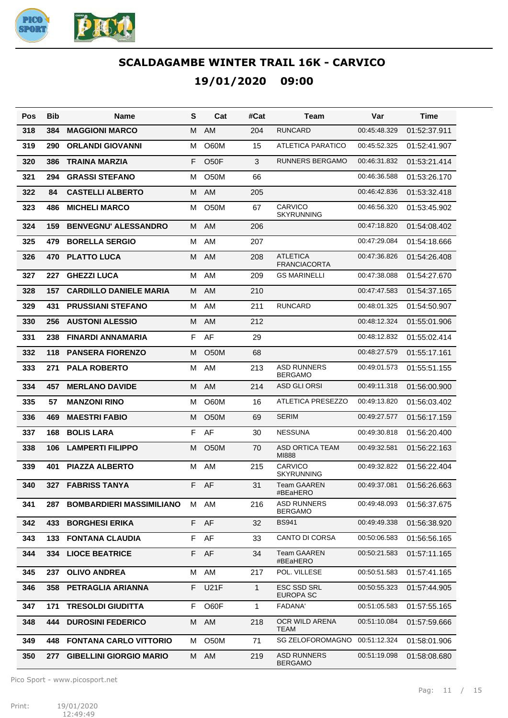

| Pos | <b>Bib</b> | Name                            | S  | Cat               | #Cat         | Team                                   | Var          | Time         |
|-----|------------|---------------------------------|----|-------------------|--------------|----------------------------------------|--------------|--------------|
| 318 | 384        | <b>MAGGIONI MARCO</b>           | M  | AM                | 204          | <b>RUNCARD</b>                         | 00:45:48.329 | 01:52:37.911 |
| 319 | 290        | <b>ORLANDI GIOVANNI</b>         | м  | O60M              | 15           | ATLETICA PARATICO                      | 00:45:52.325 | 01:52:41.907 |
| 320 | 386        | <b>TRAINA MARZIA</b>            | F  | O <sub>50</sub> F | 3            | <b>RUNNERS BERGAMO</b>                 | 00:46:31.832 | 01:53:21.414 |
| 321 | 294        | <b>GRASSI STEFANO</b>           | м  | O <sub>5</sub> 0M | 66           |                                        | 00:46:36.588 | 01:53:26.170 |
| 322 | 84         | <b>CASTELLI ALBERTO</b>         | м  | <b>AM</b>         | 205          |                                        | 00:46:42.836 | 01:53:32.418 |
| 323 | 486        | <b>MICHELI MARCO</b>            | м  | O50M              | 67           | <b>CARVICO</b><br><b>SKYRUNNING</b>    | 00:46:56.320 | 01:53:45.902 |
| 324 | 159        | <b>BENVEGNU' ALESSANDRO</b>     | м  | AM                | 206          |                                        | 00:47:18.820 | 01:54:08.402 |
| 325 | 479        | <b>BORELLA SERGIO</b>           | м  | AM                | 207          |                                        | 00:47:29.084 | 01:54:18.666 |
| 326 | 470        | <b>PLATTO LUCA</b>              | м  | AM                | 208          | <b>ATLETICA</b><br><b>FRANCIACORTA</b> | 00:47:36.826 | 01:54:26.408 |
| 327 | 227        | <b>GHEZZI LUCA</b>              | M  | AM                | 209          | <b>GS MARINELLI</b>                    | 00:47:38.088 | 01:54:27.670 |
| 328 | 157        | <b>CARDILLO DANIELE MARIA</b>   | M  | AM                | 210          |                                        | 00:47:47.583 | 01:54:37.165 |
| 329 | 431        | <b>PRUSSIANI STEFANO</b>        | м  | AM                | 211          | <b>RUNCARD</b>                         | 00:48:01.325 | 01:54:50.907 |
| 330 | 256        | <b>AUSTONI ALESSIO</b>          | м  | AM                | 212          |                                        | 00:48:12.324 | 01:55:01.906 |
| 331 | 238        | FINARDI ANNAMARIA               | F  | AF                | 29           |                                        | 00:48:12.832 | 01:55:02.414 |
| 332 | 118        | <b>PANSERA FIORENZO</b>         | м  | O <sub>5</sub> 0M | 68           |                                        | 00:48:27.579 | 01:55:17.161 |
| 333 | 271        | <b>PALA ROBERTO</b>             | м  | AM                | 213          | <b>ASD RUNNERS</b><br><b>BERGAMO</b>   | 00:49:01.573 | 01:55:51.155 |
| 334 | 457        | <b>MERLANO DAVIDE</b>           | M  | AM                | 214          | ASD GLI ORSI                           | 00:49:11.318 | 01:56:00.900 |
| 335 | 57         | <b>MANZONI RINO</b>             | м  | O60M              | 16           | ATLETICA PRESEZZO                      | 00:49:13.820 | 01:56:03.402 |
| 336 | 469        | <b>MAESTRI FABIO</b>            | м  | <b>O50M</b>       | 69           | <b>SERIM</b>                           | 00:49:27.577 | 01:56:17.159 |
| 337 | 168        | <b>BOLIS LARA</b>               | F  | AF                | 30           | <b>NESSUNA</b>                         | 00:49:30.818 | 01:56:20.400 |
| 338 | 106        | <b>LAMPERTI FILIPPO</b>         | м  | O <sub>5</sub> 0M | 70           | <b>ASD ORTICA TEAM</b><br>MI888        | 00:49:32.581 | 01:56:22.163 |
| 339 | 401        | <b>PIAZZA ALBERTO</b>           | м  | AM                | 215          | CARVICO<br><b>SKYRUNNING</b>           | 00:49:32.822 | 01:56:22.404 |
| 340 |            | 327 FABRISS TANYA               |    | F AF              | 31           | <b>Team GAAREN</b><br>#BEaHERO         | 00:49:37.081 | 01:56:26.663 |
| 341 | 287.       | <b>BOMBARDIERI MASSIMILIANO</b> |    | M AM              | 216          | ASD RUNNERS<br><b>BERGAMO</b>          | 00:49:48.093 | 01:56:37.675 |
| 342 | 433        | <b>BORGHESI ERIKA</b>           |    | F AF              | 32           | <b>BS941</b>                           | 00:49:49.338 | 01:56:38.920 |
| 343 | 133.       | <b>FONTANA CLAUDIA</b>          | F  | AF                | 33           | CANTO DI CORSA                         | 00:50:06.583 | 01:56:56.165 |
| 344 | 334        | <b>LIOCE BEATRICE</b>           | F. | AF                | 34           | Team GAAREN<br>#BEaHERO                | 00:50:21.583 | 01:57:11.165 |
| 345 | 237        | <b>OLIVO ANDREA</b>             | М  | AM                | 217          | POL. VILLESE                           | 00:50:51.583 | 01:57:41.165 |
| 346 | 358        | PETRAGLIA ARIANNA               | F. | <b>U21F</b>       | 1            | ESC SSD SRL<br><b>EUROPA SC</b>        | 00:50:55.323 | 01:57:44.905 |
| 347 | 171        | <b>TRESOLDI GIUDITTA</b>        | F. | O60F              | $\mathbf{1}$ | <b>FADANA'</b>                         | 00:51:05.583 | 01:57:55.165 |
| 348 | 444        | <b>DUROSINI FEDERICO</b>        | M  | AM                | 218          | OCR WILD ARENA<br><b>TEAM</b>          | 00:51:10.084 | 01:57:59.666 |
| 349 | 448        | <b>FONTANA CARLO VITTORIO</b>   | м  | O <sub>5</sub> 0M | 71           | <b>SG ZELOFOROMAGNO</b>                | 00:51:12.324 | 01:58:01.906 |
| 350 | 277        | <b>GIBELLINI GIORGIO MARIO</b>  | M  | AM                | 219          | <b>ASD RUNNERS</b><br><b>BERGAMO</b>   | 00:51:19.098 | 01:58:08.680 |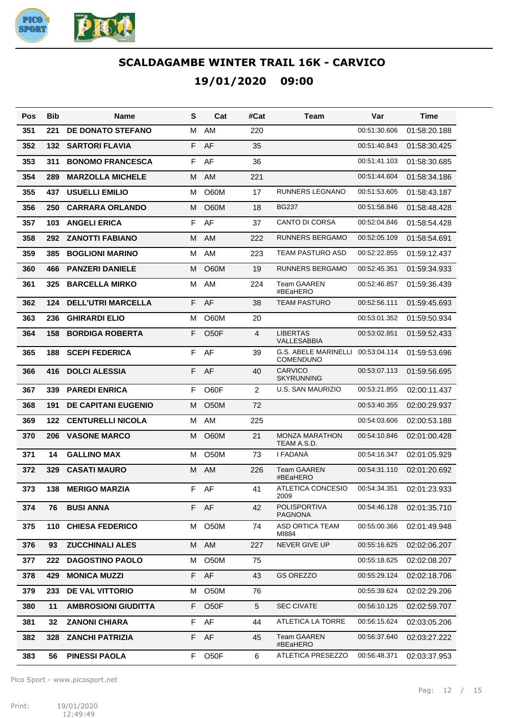

| Pos | <b>Bib</b> | <b>Name</b>                | S  | Cat               | #Cat | Team                                            | Var          | Time         |
|-----|------------|----------------------------|----|-------------------|------|-------------------------------------------------|--------------|--------------|
| 351 | 221        | <b>DE DONATO STEFANO</b>   | м  | AM                | 220  |                                                 | 00:51:30.606 | 01:58:20.188 |
| 352 | 132        | <b>SARTORI FLAVIA</b>      | F  | AF                | 35   |                                                 | 00:51:40.843 | 01:58:30.425 |
| 353 | 311        | <b>BONOMO FRANCESCA</b>    | F  | AF                | 36   |                                                 | 00:51:41.103 | 01:58:30.685 |
| 354 | 289        | <b>MARZOLLA MICHELE</b>    | м  | AM                | 221  |                                                 | 00:51:44.604 | 01:58:34.186 |
| 355 | 437        | <b>USUELLI EMILIO</b>      | м  | O60M              | 17   | <b>RUNNERS LEGNANO</b>                          | 00:51:53.605 | 01:58:43.187 |
| 356 | 250        | <b>CARRARA ORLANDO</b>     | М  | O60M              | 18   | <b>BG237</b>                                    | 00:51:58.846 | 01:58:48.428 |
| 357 | 103        | <b>ANGELI ERICA</b>        | F  | AF                | 37   | <b>CANTO DI CORSA</b>                           | 00:52:04.846 | 01:58:54.428 |
| 358 | 292        | <b>ZANOTTI FABIANO</b>     | м  | AM                | 222  | RUNNERS BERGAMO                                 | 00:52:05.109 | 01:58:54.691 |
| 359 | 385        | <b>BOGLIONI MARINO</b>     | м  | AM                | 223  | TEAM PASTURO ASD                                | 00:52:22.855 | 01:59:12.437 |
| 360 | 466        | <b>PANZERI DANIELE</b>     | М  | O60M              | 19   | <b>RUNNERS BERGAMO</b>                          | 00:52:45.351 | 01:59:34.933 |
| 361 | 325        | <b>BARCELLA MIRKO</b>      | м  | AM                | 224  | <b>Team GAAREN</b><br>#BEaHERO                  | 00:52:46.857 | 01:59:36.439 |
| 362 | 124        | <b>DELL'UTRI MARCELLA</b>  | F  | AF                | 38   | <b>TEAM PASTURO</b>                             | 00:52:56.111 | 01:59:45.693 |
| 363 | 236        | <b>GHIRARDI ELIO</b>       | М  | O60M              | 20   |                                                 | 00:53:01.352 | 01:59:50.934 |
| 364 | 158        | <b>BORDIGA ROBERTA</b>     | F  | O <sub>5</sub> OF | 4    | <b>LIBERTAS</b><br>VALLESABBIA                  | 00:53:02.851 | 01:59:52.433 |
| 365 | 188        | <b>SCEPI FEDERICA</b>      | F  | AF                | 39   | <b>G.S. ABELE MARINELLI</b><br><b>COMENDUNO</b> | 00:53:04.114 | 01:59:53.696 |
| 366 | 416        | <b>DOLCI ALESSIA</b>       | F  | AF                | 40   | <b>CARVICO</b><br><b>SKYRUNNING</b>             | 00:53:07.113 | 01:59:56.695 |
| 367 | 339        | <b>PAREDI ENRICA</b>       | F  | O60F              | 2    | U.S. SAN MAURIZIO                               | 00:53:21.855 | 02:00:11.437 |
| 368 | 191        | <b>DE CAPITANI EUGENIO</b> | М  | <b>O50M</b>       | 72   |                                                 | 00:53:40.355 | 02:00:29.937 |
| 369 | 122        | <b>CENTURELLI NICOLA</b>   | м  | AM                | 225  |                                                 | 00:54:03.606 | 02:00:53.188 |
| 370 | 206        | <b>VASONE MARCO</b>        | М  | O60M              | 21   | <b>MONZA MARATHON</b><br>TEAM A.S.D.            | 00:54:10.846 | 02:01:00.428 |
| 371 | 14         | <b>GALLINO MAX</b>         | м  | <b>O50M</b>       | 73   | I FADANÀ                                        | 00:54:16.347 | 02:01:05.929 |
| 372 | 329        | <b>CASATI MAURO</b>        | м  | <b>AM</b>         | 226  | <b>Team GAAREN</b><br>#BEaHERO                  | 00:54:31.110 | 02:01:20.692 |
| 373 | 138        | <b>MERIGO MARZIA</b>       | F  | AF                | 41   | ATLETICA CONCESIO<br>2009                       | 00:54:34.351 | 02:01:23.933 |
| 374 | 76         | <b>BUSI ANNA</b>           |    | F AF              | 42   | POLISPORTIVA<br><b>PAGNONA</b>                  | 00:54:46.128 | 02:01:35.710 |
| 375 | 110        | <b>CHIESA FEDERICO</b>     | м  | O50M              | 74   | ASD ORTICA TEAM<br>MI884                        | 00:55:00.366 | 02:01:49.948 |
| 376 | 93         | <b>ZUCCHINALI ALES</b>     | M  | AM                | 227  | <b>NEVER GIVE UP</b>                            | 00:55:16.625 | 02:02:06.207 |
| 377 | 222        | <b>DAGOSTINO PAOLO</b>     | М  | O50M              | 75   |                                                 | 00:55:18.625 | 02:02:08.207 |
| 378 | 429        | <b>MONICA MUZZI</b>        | F. | AF                | 43   | <b>GS OREZZO</b>                                | 00:55:29.124 | 02:02:18.706 |
| 379 | 233        | DE VAL VITTORIO            | м  | O50M              | 76   |                                                 | 00:55:39.624 | 02:02:29.206 |
| 380 | 11         | <b>AMBROSIONI GIUDITTA</b> | F  | O <sub>5</sub> OF | 5    | <b>SEC CIVATE</b>                               | 00:56:10.125 | 02:02:59.707 |
| 381 | 32         | <b>ZANONI CHIARA</b>       | F  | AF                | 44   | ATLETICA LA TORRE                               | 00:56:15.624 | 02:03:05.206 |
| 382 | 328        | <b>ZANCHI PATRIZIA</b>     |    | F AF              | 45   | <b>Team GAAREN</b><br>#BEaHERO                  | 00:56:37.640 | 02:03:27.222 |
| 383 | 56         | <b>PINESSI PAOLA</b>       | F. | O <sub>5</sub> OF | 6    | ATLETICA PRESEZZO                               | 00:56:48.371 | 02:03:37.953 |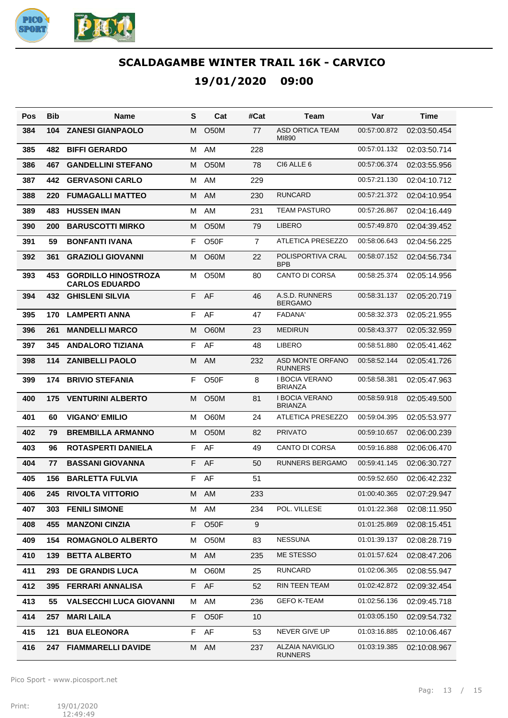

| Pos | <b>Bib</b> | Name                                                | S  | Cat               | #Cat           | Team                                     | Var          | Time         |
|-----|------------|-----------------------------------------------------|----|-------------------|----------------|------------------------------------------|--------------|--------------|
| 384 | 104        | <b>ZANESI GIANPAOLO</b>                             | м  | O <sub>5</sub> 0M | 77             | <b>ASD ORTICA TEAM</b><br>MI890          | 00:57:00.872 | 02:03:50.454 |
| 385 | 482        | <b>BIFFI GERARDO</b>                                | M  | AM                | 228            |                                          | 00:57:01.132 | 02:03:50.714 |
| 386 | 467        | <b>GANDELLINI STEFANO</b>                           | м  | <b>O50M</b>       | 78             | CI6 ALLE 6                               | 00:57:06.374 | 02:03:55.956 |
| 387 | 442        | <b>GERVASONI CARLO</b>                              | M  | AM                | 229            |                                          | 00:57:21.130 | 02:04:10.712 |
| 388 | 220        | <b>FUMAGALLI MATTEO</b>                             | M  | AM                | 230            | <b>RUNCARD</b>                           | 00:57:21.372 | 02:04:10.954 |
| 389 | 483        | <b>HUSSEN IMAN</b>                                  | M  | AM                | 231            | <b>TEAM PASTURO</b>                      | 00:57:26.867 | 02:04:16.449 |
| 390 | 200        | <b>BARUSCOTTI MIRKO</b>                             | м  | <b>O50M</b>       | 79             | <b>LIBERO</b>                            | 00:57:49.870 | 02:04:39.452 |
| 391 | 59         | <b>BONFANTI IVANA</b>                               | F  | O <sub>50</sub> F | $\overline{7}$ | ATLETICA PRESEZZO                        | 00:58:06.643 | 02:04:56.225 |
| 392 | 361        | <b>GRAZIOLI GIOVANNI</b>                            | M  | <b>O60M</b>       | 22             | POLISPORTIVA CRAL<br><b>BPB</b>          | 00:58:07.152 | 02:04:56.734 |
| 393 | 453        | <b>GORDILLO HINOSTROZA</b><br><b>CARLOS EDUARDO</b> | м  | <b>O50M</b>       | 80             | <b>CANTO DI CORSA</b>                    | 00:58:25.374 | 02:05:14.956 |
| 394 | 432        | <b>GHISLENI SILVIA</b>                              | F. | AF                | 46             | A.S.D. RUNNERS<br><b>BERGAMO</b>         | 00:58:31.137 | 02:05:20.719 |
| 395 | 170        | <b>LAMPERTI ANNA</b>                                | F  | AF                | 47             | <b>FADANA'</b>                           | 00:58:32.373 | 02:05:21.955 |
| 396 | 261        | <b>MANDELLI MARCO</b>                               | м  | <b>O60M</b>       | 23             | <b>MEDIRUN</b>                           | 00:58:43.377 | 02:05:32.959 |
| 397 | 345        | <b>ANDALORO TIZIANA</b>                             | F  | AF                | 48             | <b>LIBERO</b>                            | 00:58:51.880 | 02:05:41.462 |
| 398 | 114        | <b>ZANIBELLI PAOLO</b>                              | м  | AM                | 232            | ASD MONTE ORFANO<br><b>RUNNERS</b>       | 00:58:52.144 | 02:05:41.726 |
| 399 | 174        | <b>BRIVIO STEFANIA</b>                              | F  | O <sub>5</sub> OF | 8              | I BOCIA VERANO<br><b>BRIANZA</b>         | 00:58:58.381 | 02:05:47.963 |
| 400 | 175        | <b>VENTURINI ALBERTO</b>                            | M  | <b>O50M</b>       | 81             | <b>I BOCIA VERANO</b><br><b>BRIANZA</b>  | 00:58:59.918 | 02:05:49.500 |
| 401 | 60         | <b>VIGANO' EMILIO</b>                               | м  | O60M              | 24             | ATLETICA PRESEZZO                        | 00:59:04.395 | 02:05:53.977 |
| 402 | 79         | <b>BREMBILLA ARMANNO</b>                            | м  | O <sub>5</sub> 0M | 82             | <b>PRIVATO</b>                           | 00:59:10.657 | 02:06:00.239 |
| 403 | 96         | <b>ROTASPERTI DANIELA</b>                           | F  | AF                | 49             | <b>CANTO DI CORSA</b>                    | 00:59:16.888 | 02:06:06.470 |
| 404 | 77         | <b>BASSANI GIOVANNA</b>                             | F  | AF                | 50             | <b>RUNNERS BERGAMO</b>                   | 00:59:41.145 | 02:06:30.727 |
| 405 | 156        | <b>BARLETTA FULVIA</b>                              | F  | AF                | 51             |                                          | 00:59:52.650 | 02:06:42.232 |
| 406 | 245        | <b>RIVOLTA VITTORIO</b>                             | М  | AM                | 233            |                                          | 01:00:40.365 | 02:07:29.947 |
| 407 | 303        | <b>FENILI SIMONE</b>                                | м  | AM                | 234            | POL. VILLESE                             | 01:01:22.368 | 02:08:11.950 |
| 408 | 455        | <b>MANZONI CINZIA</b>                               | F  | O <sub>5</sub> OF | 9              |                                          | 01:01:25.869 | 02:08:15.451 |
| 409 | 154        | <b>ROMAGNOLO ALBERTO</b>                            | м  | <b>O50M</b>       | 83             | <b>NESSUNA</b>                           | 01:01:39.137 | 02:08:28.719 |
| 410 | 139        | <b>BETTA ALBERTO</b>                                | М  | AM                | 235            | ME STESSO                                | 01:01:57.624 | 02:08:47.206 |
| 411 | 293        | <b>DE GRANDIS LUCA</b>                              | м  | O60M              | 25             | <b>RUNCARD</b>                           | 01:02:06.365 | 02:08:55.947 |
| 412 | 395        | <b>FERRARI ANNALISA</b>                             | F. | AF                | 52             | RIN TEEN TEAM                            | 01:02:42.872 | 02:09:32.454 |
| 413 | 55         | <b>VALSECCHI LUCA GIOVANNI</b>                      | м  | AM                | 236            | <b>GEFO K-TEAM</b>                       | 01:02:56.136 | 02:09:45.718 |
| 414 | 257        | <b>MARI LAILA</b>                                   | F  | O <sub>5</sub> OF | 10             |                                          | 01:03:05.150 | 02:09:54.732 |
| 415 | 121        | <b>BUA ELEONORA</b>                                 | F  | AF                | 53             | NEVER GIVE UP                            | 01:03:16.885 | 02:10:06.467 |
| 416 | 247        | <b>FIAMMARELLI DAVIDE</b>                           | М  | AM                | 237            | <b>ALZAIA NAVIGLIO</b><br><b>RUNNERS</b> | 01:03:19.385 | 02:10:08.967 |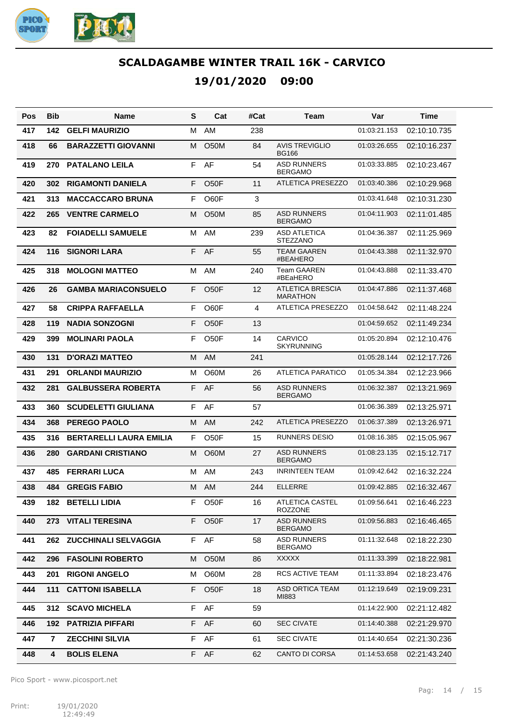

| Pos | Bib                     | <b>Name</b>                    | S  | Cat               | #Cat | Team                                       | Var          | Time         |
|-----|-------------------------|--------------------------------|----|-------------------|------|--------------------------------------------|--------------|--------------|
| 417 | 142                     | <b>GELFI MAURIZIO</b>          | м  | AM                | 238  |                                            | 01:03:21.153 | 02:10:10.735 |
| 418 | 66                      | <b>BARAZZETTI GIOVANNI</b>     | м  | O <sub>5</sub> 0M | 84   | <b>AVIS TREVIGLIO</b><br><b>BG166</b>      | 01:03:26.655 | 02:10:16.237 |
| 419 | 270                     | <b>PATALANO LEILA</b>          | F  | AF                | 54   | <b>ASD RUNNERS</b><br><b>BERGAMO</b>       | 01:03:33.885 | 02:10:23.467 |
| 420 | 302                     | <b>RIGAMONTI DANIELA</b>       | F  | O <sub>5</sub> OF | 11   | <b>ATLETICA PRESEZZO</b>                   | 01:03:40.386 | 02:10:29.968 |
| 421 | 313                     | <b>MACCACCARO BRUNA</b>        | F  | O60F              | 3    |                                            | 01:03:41.648 | 02:10:31.230 |
| 422 | 265                     | <b>VENTRE CARMELO</b>          | м  | <b>O50M</b>       | 85   | <b>ASD RUNNERS</b><br><b>BERGAMO</b>       | 01:04:11.903 | 02:11:01.485 |
| 423 | 82                      | <b>FOIADELLI SAMUELE</b>       | м  | AM                | 239  | <b>ASD ATLETICA</b><br><b>STEZZANO</b>     | 01:04:36.387 | 02:11:25.969 |
| 424 | 116                     | <b>SIGNORI LARA</b>            | F  | AF                | 55   | <b>TEAM GAAREN</b><br>#BEAHERO             | 01:04:43.388 | 02:11:32.970 |
| 425 | 318                     | <b>MOLOGNI MATTEO</b>          | M  | AM                | 240  | <b>Team GAAREN</b><br>#BEaHERO             | 01:04:43.888 | 02:11:33.470 |
| 426 | 26                      | <b>GAMBA MARIACONSUELO</b>     | F  | O <sub>5</sub> OF | 12   | <b>ATLETICA BRESCIA</b><br><b>MARATHON</b> | 01:04:47.886 | 02:11:37.468 |
| 427 | 58                      | <b>CRIPPA RAFFAELLA</b>        | F  | O60F              | 4    | ATLETICA PRESEZZO                          | 01:04:58.642 | 02:11:48.224 |
| 428 | 119                     | <b>NADIA SONZOGNI</b>          | F  | O <sub>5</sub> OF | 13   |                                            | 01:04:59.652 | 02:11:49.234 |
| 429 | 399                     | <b>MOLINARI PAOLA</b>          | F  | O <sub>5</sub> OF | 14   | <b>CARVICO</b><br><b>SKYRUNNING</b>        | 01:05:20.894 | 02:12:10.476 |
| 430 | 131                     | <b>D'ORAZI MATTEO</b>          | м  | AM                | 241  |                                            | 01:05:28.144 | 02:12:17.726 |
| 431 | 291                     | <b>ORLANDI MAURIZIO</b>        | M  | O60M              | 26   | <b>ATLETICA PARATICO</b>                   | 01:05:34.384 | 02:12:23.966 |
| 432 | 281                     | <b>GALBUSSERA ROBERTA</b>      | F. | AF                | 56   | <b>ASD RUNNERS</b><br><b>BERGAMO</b>       | 01:06:32.387 | 02:13:21.969 |
| 433 | 360                     | <b>SCUDELETTI GIULIANA</b>     | F  | AF                | 57   |                                            | 01:06:36.389 | 02:13:25.971 |
| 434 | 368                     | <b>PEREGO PAOLO</b>            | М  | <b>AM</b>         | 242  | <b>ATLETICA PRESEZZO</b>                   | 01:06:37.389 | 02:13:26.971 |
| 435 | 316                     | <b>BERTARELLI LAURA EMILIA</b> | F  | O50F              | 15   | <b>RUNNERS DESIO</b>                       | 01:08:16.385 | 02:15:05.967 |
| 436 | 280                     | <b>GARDANI CRISTIANO</b>       | м  | O60M              | 27   | <b>ASD RUNNERS</b><br><b>BERGAMO</b>       | 01:08:23.135 | 02:15:12.717 |
| 437 | 485                     | <b>FERRARI LUCA</b>            | м  | AM                | 243  | <b>INRINTEEN TEAM</b>                      | 01:09:42.642 | 02:16:32.224 |
| 438 | 484                     | <b>GREGIS FABIO</b>            | M  | AM                | 244  | <b>ELLERRE</b>                             | 01:09:42.885 | 02:16:32.467 |
| 439 |                         | <b>182 BETELLI LIDIA</b>       | F. | O50F              | 16   | ATLETICA CASTEL<br><b>ROZZONE</b>          | 01:09:56.641 | 02:16:46.223 |
| 440 | 273                     | <b>VITALI TERESINA</b>         | F. | O <sub>5</sub> OF | 17   | <b>ASD RUNNERS</b><br><b>BERGAMO</b>       | 01:09:56.883 | 02:16:46.465 |
| 441 | 262                     | <b>ZUCCHINALI SELVAGGIA</b>    |    | F AF              | 58   | <b>ASD RUNNERS</b><br><b>BERGAMO</b>       | 01:11:32.648 | 02:18:22.230 |
| 442 | 296                     | <b>FASOLINI ROBERTO</b>        | M  | O50M              | 86   | <b>XXXXX</b>                               | 01:11:33.399 | 02:18:22.981 |
| 443 | 201                     | <b>RIGONI ANGELO</b>           | M  | O60M              | 28   | <b>RCS ACTIVE TEAM</b>                     | 01:11:33.894 | 02:18:23.476 |
| 444 | 111                     | <b>CATTONI ISABELLA</b>        | F. | O50F              | 18   | <b>ASD ORTICA TEAM</b><br>MI883            | 01:12:19.649 | 02:19:09.231 |
| 445 | 312                     | <b>SCAVO MICHELA</b>           | F. | AF                | 59   |                                            | 01:14:22.900 | 02:21:12.482 |
| 446 |                         | 192 PATRIZIA PIFFARI           | F  | AF                | 60   | <b>SEC CIVATE</b>                          | 01:14:40.388 | 02:21:29.970 |
| 447 | $\overline{\mathbf{r}}$ | <b>ZECCHINI SILVIA</b>         | F. | AF                | 61   | <b>SEC CIVATE</b>                          | 01:14:40.654 | 02:21:30.236 |
| 448 | 4                       | <b>BOLIS ELENA</b>             |    | F AF              | 62   | CANTO DI CORSA                             | 01:14:53.658 | 02:21:43.240 |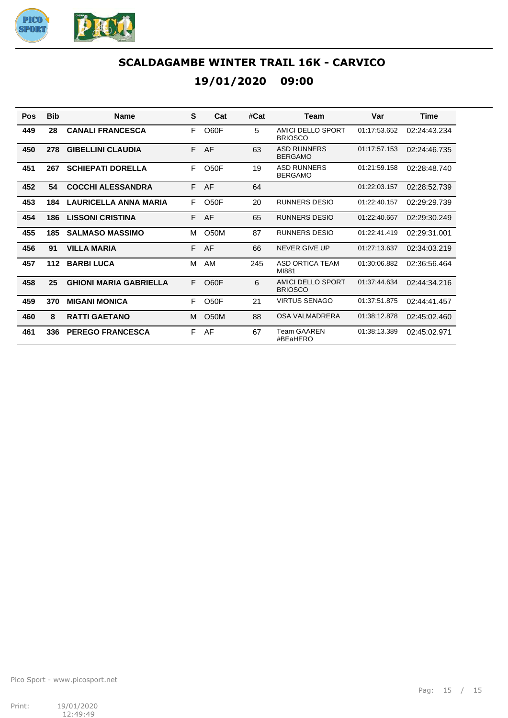

| Pos | <b>Bib</b> | <b>Name</b>                   | S  | Cat               | #Cat | Team                                 | Var          | <b>Time</b>  |
|-----|------------|-------------------------------|----|-------------------|------|--------------------------------------|--------------|--------------|
| 449 | 28         | <b>CANALI FRANCESCA</b>       | F  | O60F              | 5    | AMICI DELLO SPORT<br><b>BRIOSCO</b>  | 01:17:53.652 | 02:24:43.234 |
| 450 | 278        | <b>GIBELLINI CLAUDIA</b>      |    | F AF              | 63   | <b>ASD RUNNERS</b><br><b>BERGAMO</b> | 01:17:57.153 | 02:24:46.735 |
| 451 | 267        | <b>SCHIEPATI DORELLA</b>      | F  | O <sub>50</sub> F | 19   | <b>ASD RUNNERS</b><br><b>BERGAMO</b> | 01:21:59.158 | 02:28:48.740 |
| 452 | 54         | <b>COCCHI ALESSANDRA</b>      | F. | AF                | 64   |                                      | 01:22:03.157 | 02:28:52.739 |
| 453 | 184        | <b>LAURICELLA ANNA MARIA</b>  | F  | O <sub>5</sub> OF | 20   | RUNNERS DESIO                        | 01:22:40.157 | 02:29:29.739 |
| 454 | 186        | <b>LISSONI CRISTINA</b>       | F. | AF                | 65   | <b>RUNNERS DESIO</b>                 | 01:22:40.667 | 02:29:30.249 |
| 455 | 185        | <b>SALMASO MASSIMO</b>        | M  | <b>O50M</b>       | 87   | <b>RUNNERS DESIO</b>                 | 01:22:41.419 | 02:29:31.001 |
| 456 | 91         | <b>VILLA MARIA</b>            | F  | AF                | 66   | NEVER GIVE UP                        | 01:27:13.637 | 02:34:03.219 |
| 457 | $112$      | <b>BARBILUCA</b>              | M  | AM                | 245  | ASD ORTICA TEAM<br>MI881             | 01:30:06.882 | 02:36:56.464 |
| 458 | 25         | <b>GHIONI MARIA GABRIELLA</b> | F  | O60F              | 6    | AMICI DELLO SPORT<br><b>BRIOSCO</b>  | 01:37:44.634 | 02:44:34.216 |
| 459 | 370        | <b>MIGANI MONICA</b>          | F  | O <sub>50</sub> F | 21   | <b>VIRTUS SENAGO</b>                 | 01:37:51.875 | 02:44:41.457 |
| 460 | 8          | <b>RATTI GAETANO</b>          | м  | <b>O50M</b>       | 88   | OSA VALMADRERA                       | 01:38:12.878 | 02:45:02.460 |
| 461 | 336        | <b>PEREGO FRANCESCA</b>       | F  | AF                | 67   | <b>Team GAAREN</b><br>#BEaHERO       | 01:38:13.389 | 02:45:02.971 |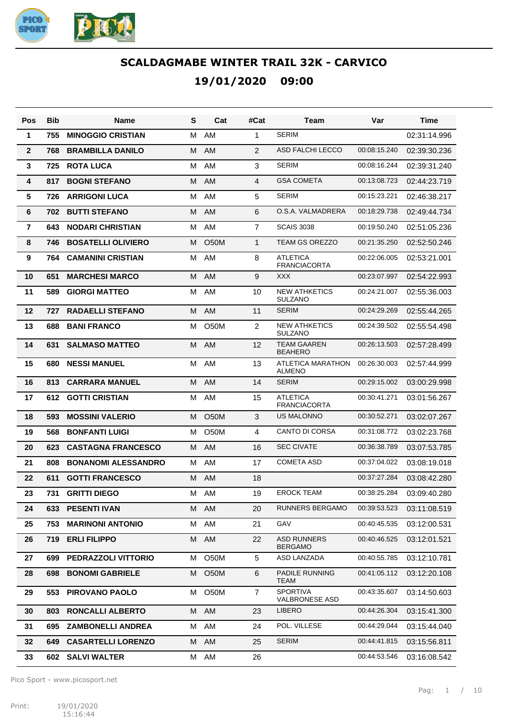

| Pos            | Bib | Name                       | S | Cat               | #Cat           | Team                                   | Var          | Time         |
|----------------|-----|----------------------------|---|-------------------|----------------|----------------------------------------|--------------|--------------|
| 1              | 755 | <b>MINOGGIO CRISTIAN</b>   | м | AM                | 1              | <b>SERIM</b>                           |              | 02:31:14.996 |
| $\overline{2}$ | 768 | <b>BRAMBILLA DANILO</b>    | м | <b>AM</b>         | 2              | ASD FALCHI LECCO                       | 00:08:15.240 | 02:39:30.236 |
| 3              | 725 | <b>ROTA LUCA</b>           | м | AM                | 3              | <b>SERIM</b>                           | 00:08:16.244 | 02:39:31.240 |
| 4              | 817 | <b>BOGNI STEFANO</b>       | М | <b>AM</b>         | 4              | <b>GSA COMETA</b>                      | 00:13:08.723 | 02:44:23.719 |
| 5              | 726 | <b>ARRIGONI LUCA</b>       | м | AM                | 5              | <b>SERIM</b>                           | 00:15:23.221 | 02:46:38.217 |
| 6              | 702 | <b>BUTTI STEFANO</b>       | М | <b>AM</b>         | 6              | O.S.A. VALMADRERA                      | 00:18:29.738 | 02:49:44.734 |
| $\overline{7}$ | 643 | <b>NODARI CHRISTIAN</b>    | м | AM                | $\overline{7}$ | <b>SCAIS 3038</b>                      | 00:19:50.240 | 02:51:05.236 |
| 8              | 746 | <b>BOSATELLI OLIVIERO</b>  | м | <b>O50M</b>       | 1              | <b>TEAM GS OREZZO</b>                  | 00:21:35.250 | 02:52:50.246 |
| 9              | 764 | <b>CAMANINI CRISTIAN</b>   | м | AM                | 8              | <b>ATLETICA</b><br><b>FRANCIACORTA</b> | 00:22:06.005 | 02:53:21.001 |
| 10             | 651 | <b>MARCHESI MARCO</b>      | М | <b>AM</b>         | 9              | <b>XXX</b>                             | 00:23:07.997 | 02:54:22.993 |
| 11             | 589 | <b>GIORGI MATTEO</b>       | м | AM                | 10             | <b>NEW ATHKETICS</b><br><b>SULZANO</b> | 00:24:21.007 | 02:55:36.003 |
| 12             | 727 | <b>RADAELLI STEFANO</b>    | м | <b>AM</b>         | 11             | <b>SERIM</b>                           | 00:24:29.269 | 02:55:44.265 |
| 13             | 688 | <b>BANI FRANCO</b>         | м | O <sub>5</sub> 0M | 2              | <b>NEW ATHKETICS</b><br><b>SULZANO</b> | 00:24:39.502 | 02:55:54.498 |
| 14             | 631 | <b>SALMASO MATTEO</b>      | М | AM                | 12             | <b>TEAM GAAREN</b><br><b>BEAHERO</b>   | 00:26:13.503 | 02:57:28.499 |
| 15             | 680 | <b>NESSI MANUEL</b>        | м | AM                | 13             | ATLETICA MARATHON<br><b>ALMENO</b>     | 00:26:30.003 | 02:57:44.999 |
| 16             | 813 | <b>CARRARA MANUEL</b>      | м | <b>AM</b>         | 14             | <b>SERIM</b>                           | 00:29:15.002 | 03:00:29.998 |
| 17             | 612 | <b>GOTTI CRISTIAN</b>      | м | AM                | 15             | <b>ATLETICA</b><br><b>FRANCIACORTA</b> | 00:30:41.271 | 03:01:56.267 |
| 18             | 593 | <b>MOSSINI VALERIO</b>     | м | <b>O50M</b>       | 3              | <b>US MALONNO</b>                      | 00:30:52.271 | 03:02:07.267 |
| 19             | 568 | <b>BONFANTI LUIGI</b>      | м | O <sub>5</sub> 0M | 4              | <b>CANTO DI CORSA</b>                  | 00:31:08.772 | 03:02:23.768 |
| 20             | 623 | <b>CASTAGNA FRANCESCO</b>  | М | AM                | 16             | <b>SEC CIVATE</b>                      | 00:36:38.789 | 03:07:53.785 |
| 21             | 808 | <b>BONANOMI ALESSANDRO</b> | м | AM                | 17             | <b>COMETA ASD</b>                      | 00:37:04.022 | 03:08:19.018 |
| 22             | 611 | <b>GOTTI FRANCESCO</b>     | М | AM                | 18             |                                        | 00:37:27.284 | 03:08:42.280 |
| 23             | 731 | <b>GRITTI DIEGO</b>        | м | AM                | 19             | <b>EROCK TEAM</b>                      | 00:38:25.284 | 03:09:40.280 |
| 24             | 633 | <b>PESENTI IVAN</b>        |   | M AM              | 20             | <b>RUNNERS BERGAMO</b>                 | 00:39:53.523 | 03:11:08.519 |
| 25             | 753 | <b>MARINONI ANTONIO</b>    |   | M AM              | 21             | GAV                                    | 00:40:45.535 | 03:12:00.531 |
| 26             | 719 | <b>ERLI FILIPPO</b>        |   | M AM              | 22             | <b>ASD RUNNERS</b><br><b>BERGAMO</b>   | 00:40:46.525 | 03:12:01.521 |
| 27             | 699 | <b>PEDRAZZOLI VITTORIO</b> | м | O <sub>5</sub> 0M | 5              | ASD LANZADA                            | 00:40:55.785 | 03:12:10.781 |
| 28             | 698 | <b>BONOMI GABRIELE</b>     | M | O50M              | 6              | PADILE RUNNING<br>TEAM                 | 00:41:05.112 | 03:12:20.108 |
| 29             | 553 | PIROVANO PAOLO             | м | O50M              | 7              | SPORTIVA<br><b>VALBRONESE ASD</b>      | 00:43:35.607 | 03:14:50.603 |
| 30             | 803 | <b>RONCALLI ALBERTO</b>    |   | M AM              | 23             | LIBERO                                 | 00:44:26.304 | 03:15:41.300 |
| 31             | 695 | <b>ZAMBONELLI ANDREA</b>   |   | M AM              | 24             | POL. VILLESE                           | 00:44:29.044 | 03:15:44.040 |
| 32             | 649 | <b>CASARTELLI LORENZO</b>  |   | M AM              | 25             | <b>SERIM</b>                           | 00:44:41.815 | 03:15:56.811 |
| 33             | 602 | <b>SALVI WALTER</b>        |   | M AM              | 26             |                                        | 00:44:53.546 | 03:16:08.542 |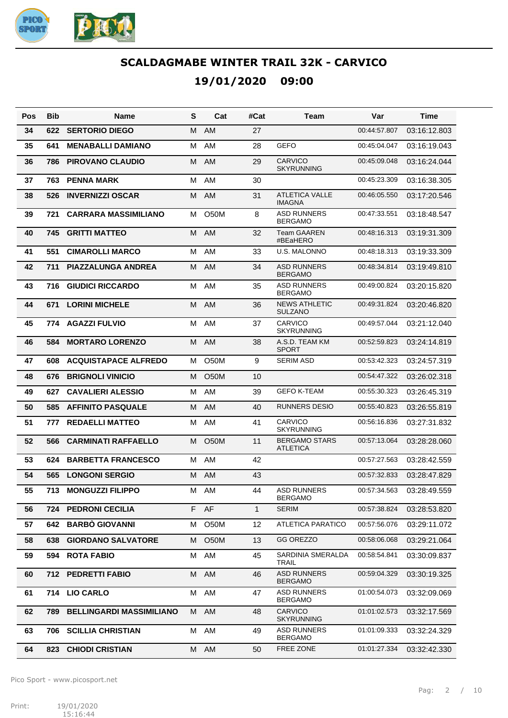

| Pos | <b>Bib</b> | Name                            | S | Cat               | #Cat         | Team                                    | Var          | Time         |
|-----|------------|---------------------------------|---|-------------------|--------------|-----------------------------------------|--------------|--------------|
| 34  | 622        | <b>SERTORIO DIEGO</b>           | м | <b>AM</b>         | 27           |                                         | 00:44:57.807 | 03:16:12.803 |
| 35  | 641        | <b>MENABALLI DAMIANO</b>        | м | AM                | 28           | <b>GEFO</b>                             | 00:45:04.047 | 03:16:19.043 |
| 36  | 786        | <b>PIROVANO CLAUDIO</b>         | м | AM                | 29           | <b>CARVICO</b><br><b>SKYRUNNING</b>     | 00:45:09.048 | 03:16:24.044 |
| 37  | 763        | <b>PENNA MARK</b>               | M | AM                | 30           |                                         | 00:45:23.309 | 03:16:38.305 |
| 38  | 526        | <b>INVERNIZZI OSCAR</b>         | м | AM                | 31           | <b>ATLETICA VALLE</b><br><b>IMAGNA</b>  | 00:46:05.550 | 03:17:20.546 |
| 39  | 721        | <b>CARRARA MASSIMILIANO</b>     | м | <b>O50M</b>       | 8            | <b>ASD RUNNERS</b><br><b>BERGAMO</b>    | 00:47:33.551 | 03:18:48.547 |
| 40  | 745        | <b>GRITTI MATTEO</b>            | м | AM                | 32           | <b>Team GAAREN</b><br>#BEaHERO          | 00:48:16.313 | 03:19:31.309 |
| 41  | 551        | <b>CIMAROLLI MARCO</b>          | M | AM                | 33           | U.S. MALONNO                            | 00:48:18.313 | 03:19:33.309 |
| 42  | 711        | <b>PIAZZALUNGA ANDREA</b>       | м | AM                | 34           | <b>ASD RUNNERS</b><br><b>BERGAMO</b>    | 00:48:34.814 | 03:19:49.810 |
| 43  | 716        | <b>GIUDICI RICCARDO</b>         | м | AM                | 35           | <b>ASD RUNNERS</b><br><b>BERGAMO</b>    | 00:49:00.824 | 03:20:15.820 |
| 44  | 671        | <b>LORINI MICHELE</b>           | м | AM                | 36           | <b>NEWS ATHLETIC</b><br><b>SULZANO</b>  | 00:49:31.824 | 03:20:46.820 |
| 45  | 774        | <b>AGAZZI FULVIO</b>            | M | AM                | 37           | CARVICO<br><b>SKYRUNNING</b>            | 00:49:57.044 | 03:21:12.040 |
| 46  | 584        | <b>MORTARO LORENZO</b>          | M | AM                | 38           | A.S.D. TEAM KM<br><b>SPORT</b>          | 00:52:59.823 | 03:24:14.819 |
| 47  | 608        | <b>ACQUISTAPACE ALFREDO</b>     | м | <b>O50M</b>       | 9            | <b>SERIM ASD</b>                        | 00:53:42.323 | 03:24:57.319 |
| 48  | 676        | <b>BRIGNOLI VINICIO</b>         | м | O <sub>5</sub> 0M | 10           |                                         | 00:54:47.322 | 03:26:02.318 |
| 49  | 627        | <b>CAVALIERI ALESSIO</b>        | м | AM                | 39           | <b>GEFO K-TEAM</b>                      | 00:55:30.323 | 03:26:45.319 |
| 50  | 585        | <b>AFFINITO PASQUALE</b>        | м | AM                | 40           | <b>RUNNERS DESIO</b>                    | 00:55:40.823 | 03:26:55.819 |
| 51  | 777        | <b>REDAELLI MATTEO</b>          | м | AM                | 41           | <b>CARVICO</b><br><b>SKYRUNNING</b>     | 00:56:16.836 | 03:27:31.832 |
| 52  | 566        | <b>CARMINATI RAFFAELLO</b>      | м | <b>O50M</b>       | 11           | <b>BERGAMO STARS</b><br><b>ATLETICA</b> | 00:57:13.064 | 03:28:28.060 |
| 53  | 624        | <b>BARBETTA FRANCESCO</b>       | м | AM                | 42           |                                         | 00:57:27.563 | 03:28:42.559 |
| 54  | 565        | <b>LONGONI SERGIO</b>           | M | AM                | 43           |                                         | 00:57:32.833 | 03:28:47.829 |
| 55  | 713        | <b>MONGUZZI FILIPPO</b>         | м | AM                | 44           | <b>ASD RUNNERS</b><br><b>BERGAMO</b>    | 00:57:34.563 | 03:28:49.559 |
| 56  | 724        | <b>PEDRONI CECILIA</b>          |   | F AF              | $\mathbf{1}$ | <b>SERIM</b>                            | 00:57:38.824 | 03:28:53.820 |
| 57  | 642        | <b>BARBO GIOVANNI</b>           | м | O <sub>5</sub> 0M | 12           | <b>ATLETICA PARATICO</b>                | 00:57:56.076 | 03:29:11.072 |
| 58  | 638        | <b>GIORDANO SALVATORE</b>       | M | <b>O50M</b>       | 13           | GG OREZZO                               | 00:58:06.068 | 03:29:21.064 |
| 59  | 594        | <b>ROTA FABIO</b>               | М | AM                | 45           | SARDINIA SMERALDA<br>TRAIL              | 00:58:54.841 | 03:30:09.837 |
| 60  | 712        | <b>PEDRETTI FABIO</b>           |   | M AM              | 46           | <b>ASD RUNNERS</b><br><b>BERGAMO</b>    | 00:59:04.329 | 03:30:19.325 |
| 61  |            | 714 LIO CARLO                   |   | M AM              | 47           | <b>ASD RUNNERS</b><br><b>BERGAMO</b>    | 01:00:54.073 | 03:32:09.069 |
| 62  | 789.       | <b>BELLINGARDI MASSIMILIANO</b> |   | M AM              | 48           | <b>CARVICO</b><br><b>SKYRUNNING</b>     | 01:01:02.573 | 03:32:17.569 |
| 63  | 706        | <b>SCILLIA CHRISTIAN</b>        |   | M AM              | 49           | <b>ASD RUNNERS</b><br><b>BERGAMO</b>    | 01:01:09.333 | 03:32:24.329 |
| 64  |            | 823 CHIODI CRISTIAN             |   | M AM              | 50           | FREE ZONE                               | 01:01:27.334 | 03:32:42.330 |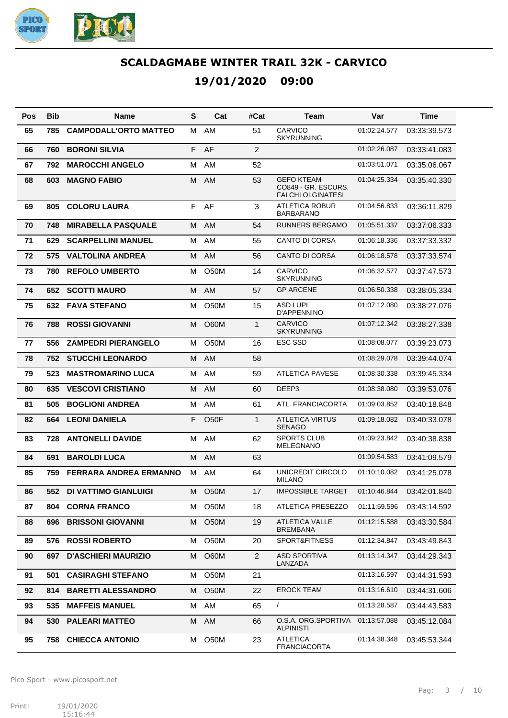

**19/01/2020 09:00**

| Pos | <b>Bib</b> | <b>Name</b>                  | S  | Cat               | #Cat           | Team                                                                 | Var          | Time         |
|-----|------------|------------------------------|----|-------------------|----------------|----------------------------------------------------------------------|--------------|--------------|
| 65  | 785        | <b>CAMPODALL'ORTO MATTEO</b> | м  | AM                | 51             | CARVICO<br><b>SKYRUNNING</b>                                         | 01:02:24.577 | 03:33:39.573 |
| 66  | 760        | <b>BORONI SILVIA</b>         | F  | AF                | 2              |                                                                      | 01:02:26.087 | 03:33:41.083 |
| 67  | 792        | <b>MAROCCHI ANGELO</b>       | м  | AM                | 52             |                                                                      | 01:03:51.071 | 03:35:06.067 |
| 68  | 603        | <b>MAGNO FABIO</b>           | M  | AM                | 53             | <b>GEFO KTEAM</b><br>CO849 - GR. ESCURS.<br><b>FALCHI OLGINATESI</b> | 01:04:25.334 | 03:35:40.330 |
| 69  | 805        | <b>COLORU LAURA</b>          | F. | AF                | 3              | <b>ATLETICA ROBUR</b><br><b>BARBARANO</b>                            | 01:04:56.833 | 03:36:11.829 |
| 70  | 748        | <b>MIRABELLA PASQUALE</b>    | м  | AM                | 54             | <b>RUNNERS BERGAMO</b>                                               | 01:05:51.337 | 03:37:06.333 |
| 71  | 629        | <b>SCARPELLINI MANUEL</b>    | м  | AM                | 55             | <b>CANTO DI CORSA</b>                                                | 01:06:18.336 | 03:37:33.332 |
| 72  | 575        | <b>VALTOLINA ANDREA</b>      | м  | <b>AM</b>         | 56             | <b>CANTO DI CORSA</b>                                                | 01:06:18.578 | 03:37:33.574 |
| 73  | 780        | <b>REFOLO UMBERTO</b>        | м  | <b>O50M</b>       | 14             | CARVICO<br><b>SKYRUNNING</b>                                         | 01:06:32.577 | 03:37:47.573 |
| 74  | 652        | <b>SCOTTI MAURO</b>          | M  | AM                | 57             | <b>GP ARCENE</b>                                                     | 01:06:50.338 | 03:38:05.334 |
| 75  | 632        | <b>FAVA STEFANO</b>          | м  | O <sub>5</sub> 0M | 15             | <b>ASD LUPI</b><br>D'APPENNINO                                       | 01:07:12.080 | 03:38:27.076 |
| 76  | 788        | <b>ROSSI GIOVANNI</b>        | М  | <b>O60M</b>       | $\mathbf{1}$   | CARVICO<br><b>SKYRUNNING</b>                                         | 01:07:12.342 | 03:38:27.338 |
| 77  | 556        | <b>ZAMPEDRI PIERANGELO</b>   | м  | <b>O50M</b>       | 16             | <b>ESC SSD</b>                                                       | 01:08:08.077 | 03:39:23.073 |
| 78  | 752        | <b>STUCCHI LEONARDO</b>      | м  | <b>AM</b>         | 58             |                                                                      | 01:08:29.078 | 03:39:44.074 |
| 79  | 523        | <b>MASTROMARINO LUCA</b>     | м  | AM                | 59             | <b>ATLETICA PAVESE</b>                                               | 01:08:30.338 | 03:39:45.334 |
| 80  | 635        | <b>VESCOVI CRISTIANO</b>     | м  | AM                | 60             | DEEP3                                                                | 01:08:38.080 | 03:39:53.076 |
| 81  | 505        | <b>BOGLIONI ANDREA</b>       | м  | AM                | 61             | ATL. FRANCIACORTA                                                    | 01:09:03.852 | 03:40:18.848 |
| 82  | 664        | <b>LEONI DANIELA</b>         | F  | O <sub>50</sub> F | $\mathbf{1}$   | <b>ATLETICA VIRTUS</b><br><b>SENAGO</b>                              | 01:09:18.082 | 03:40:33.078 |
| 83  | 728        | <b>ANTONELLI DAVIDE</b>      | М  | AM                | 62             | <b>SPORTS CLUB</b><br><b>MELEGNANO</b>                               | 01:09:23.842 | 03:40:38.838 |
| 84  | 691        | <b>BAROLDI LUCA</b>          | M  | AM                | 63             |                                                                      | 01:09:54.583 | 03:41:09.579 |
| 85  | 759        | FERRARA ANDREA ERMANNO       | M  | AM                | 64             | UNICREDIT CIRCOLO<br><b>MILANO</b>                                   | 01:10:10.082 | 03:41:25.078 |
| 86  | 552        | <b>DI VATTIMO GIANLUIGI</b>  | M  | O50M              | 17             | <b>IMPOSSIBLE TARGET</b>                                             | 01:10:46.844 | 03:42:01.840 |
| 87  | 804        | <b>CORNA FRANCO</b>          | м  | O <sub>5</sub> 0M | 18             | ATLETICA PRESEZZO                                                    | 01:11:59.596 | 03:43:14.592 |
| 88  | 696        | <b>BRISSONI GIOVANNI</b>     | м  | <b>O50M</b>       | 19             | <b>ATLETICA VALLE</b><br><b>BREMBANA</b>                             | 01:12:15.588 | 03:43:30.584 |
| 89  | 576        | <b>ROSSI ROBERTO</b>         | М  | O <sub>5</sub> 0M | 20             | SPORT&FITNESS                                                        | 01:12:34.847 | 03:43:49.843 |
| 90  | 697        | <b>D'ASCHIERI MAURIZIO</b>   | М  | O60M              | $\overline{2}$ | <b>ASD SPORTIVA</b><br>LANZADA                                       | 01:13:14.347 | 03:44:29.343 |
| 91  | 501        | <b>CASIRAGHI STEFANO</b>     | м  | O50M              | 21             |                                                                      | 01:13:16.597 | 03:44:31.593 |
| 92  | 814        | <b>BARETTI ALESSANDRO</b>    | M  | O <sub>5</sub> 0M | 22             | <b>EROCK TEAM</b>                                                    | 01:13:16.610 | 03:44:31.606 |
| 93  | 535        | <b>MAFFEIS MANUEL</b>        | М  | AM                | 65             | $\sqrt{2}$                                                           | 01:13:28.587 | 03:44:43.583 |
| 94  | 530        | <b>PALEARI MATTEO</b>        | M  | AM                | 66             | O.S.A. ORG.SPORTIVA<br><b>ALPINISTI</b>                              | 01:13:57.088 | 03:45:12.084 |
| 95  | 758        | <b>CHIECCA ANTONIO</b>       | м  | O50M              | 23             | <b>ATLETICA</b><br><b>FRANCIACORTA</b>                               | 01:14:38.348 | 03:45:53.344 |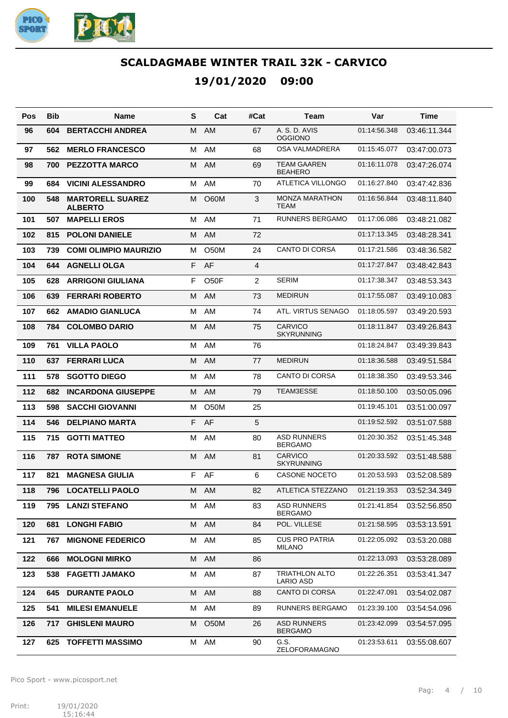

| Pos | Bib | <b>Name</b>                               | S | Cat               | #Cat | Team                                          | Var          | Time         |
|-----|-----|-------------------------------------------|---|-------------------|------|-----------------------------------------------|--------------|--------------|
| 96  | 604 | <b>BERTACCHI ANDREA</b>                   | M | AM                | 67   | A. S. D. AVIS<br><b>OGGIONO</b>               | 01:14:56.348 | 03:46:11.344 |
| 97  | 562 | <b>MERLO FRANCESCO</b>                    | м | AM                | 68   | OSA VALMADRERA                                | 01:15:45.077 | 03:47:00.073 |
| 98  | 700 | <b>PEZZOTTA MARCO</b>                     | м | AM                | 69   | <b>TEAM GAAREN</b><br><b>BEAHERO</b>          | 01:16:11.078 | 03:47:26.074 |
| 99  | 684 | <b>VICINI ALESSANDRO</b>                  | м | AM                | 70   | ATLETICA VILLONGO                             | 01:16:27.840 | 03:47:42.836 |
| 100 | 548 | <b>MARTORELL SUAREZ</b><br><b>ALBERTO</b> | м | <b>O60M</b>       | 3    | <b>MONZA MARATHON</b><br><b>TEAM</b>          | 01:16:56.844 | 03:48:11.840 |
| 101 | 507 | <b>MAPELLI EROS</b>                       | M | AM                | 71   | <b>RUNNERS BERGAMO</b>                        | 01:17:06.086 | 03:48:21.082 |
| 102 | 815 | <b>POLONI DANIELE</b>                     | м | AM                | 72   |                                               | 01:17:13.345 | 03:48:28.341 |
| 103 | 739 | <b>COMI OLIMPIO MAURIZIO</b>              | м | O <sub>5</sub> 0M | 24   | <b>CANTO DI CORSA</b>                         | 01:17:21.586 | 03:48:36.582 |
| 104 | 644 | <b>AGNELLI OLGA</b>                       | F | AF                | 4    |                                               | 01:17:27.847 | 03:48:42.843 |
| 105 | 628 | <b>ARRIGONI GIULIANA</b>                  | F | O <sub>5</sub> OF | 2    | <b>SERIM</b>                                  | 01:17:38.347 | 03:48:53.343 |
| 106 | 639 | <b>FERRARI ROBERTO</b>                    | M | AM                | 73   | <b>MEDIRUN</b>                                | 01:17:55.087 | 03:49:10.083 |
| 107 | 662 | <b>AMADIO GIANLUCA</b>                    | M | AM                | 74   | ATL. VIRTUS SENAGO                            | 01:18:05.597 | 03:49:20.593 |
| 108 | 784 | <b>COLOMBO DARIO</b>                      | M | AM                | 75   | <b>CARVICO</b><br><b>SKYRUNNING</b>           | 01:18:11.847 | 03:49:26.843 |
| 109 | 761 | <b>VILLA PAOLO</b>                        | М | AM                | 76   |                                               | 01:18:24.847 | 03:49:39.843 |
| 110 | 637 | <b>FERRARI LUCA</b>                       | M | AM                | 77   | <b>MEDIRUN</b>                                | 01:18:36.588 | 03:49:51.584 |
| 111 | 578 | <b>SGOTTO DIEGO</b>                       | м | AM                | 78   | <b>CANTO DI CORSA</b>                         | 01:18:38.350 | 03:49:53.346 |
| 112 | 682 | <b>INCARDONA GIUSEPPE</b>                 | M | AM                | 79   | TEAM3ESSE                                     | 01:18:50.100 | 03:50:05.096 |
| 113 | 598 | <b>SACCHI GIOVANNI</b>                    | м | <b>O50M</b>       | 25   |                                               | 01:19:45.101 | 03:51:00.097 |
| 114 | 546 | <b>DELPIANO MARTA</b>                     | F | AF                | 5    |                                               | 01:19:52.592 | 03:51:07.588 |
| 115 | 715 | <b>GOTTI MATTEO</b>                       | м | AM                | 80   | <b>ASD RUNNERS</b><br><b>BERGAMO</b>          | 01:20:30.352 | 03:51:45.348 |
| 116 | 787 | <b>ROTA SIMONE</b>                        | м | AM                | 81   | <b>CARVICO</b><br><b>SKYRUNNING</b>           | 01:20:33.592 | 03:51:48.588 |
| 117 | 821 | <b>MAGNESA GIULIA</b>                     | F | AF                | 6    | <b>CASONE NOCETO</b>                          | 01:20:53.593 | 03:52:08.589 |
| 118 |     | 796 LOCATELLI PAOLO                       |   | M AM              | 82   | ATLETICA STEZZANO  01:21:19.353  03:52:34.349 |              |              |
| 119 | 795 | <b>LANZI STEFANO</b>                      | М | AM                | 83   | <b>ASD RUNNERS</b><br><b>BERGAMO</b>          | 01:21:41.854 | 03:52:56.850 |
| 120 | 681 | <b>LONGHI FABIO</b>                       | M | AM                | 84   | POL. VILLESE                                  | 01:21:58.595 | 03:53:13.591 |
| 121 | 767 | <b>MIGNONE FEDERICO</b>                   | М | AM                | 85   | <b>CUS PRO PATRIA</b><br><b>MILANO</b>        | 01:22:05.092 | 03:53:20.088 |
| 122 | 666 | <b>MOLOGNI MIRKO</b>                      | М | AM                | 86   |                                               | 01:22:13.093 | 03:53:28.089 |
| 123 | 538 | <b>FAGETTI JAMAKO</b>                     | м | AM                | 87   | <b>TRIATHLON ALTO</b><br><b>LARIO ASD</b>     | 01:22:26.351 | 03:53:41.347 |
| 124 | 645 | <b>DURANTE PAOLO</b>                      | M | AM                | 88   | <b>CANTO DI CORSA</b>                         | 01:22:47.091 | 03:54:02.087 |
| 125 | 541 | <b>MILESI EMANUELE</b>                    | м | AM                | 89   | RUNNERS BERGAMO                               | 01:23:39.100 | 03:54:54.096 |
| 126 | 717 | <b>GHISLENI MAURO</b>                     | М | O <sub>5</sub> 0M | 26   | <b>ASD RUNNERS</b><br><b>BERGAMO</b>          | 01:23:42.099 | 03:54:57.095 |
| 127 | 625 | <b>TOFFETTI MASSIMO</b>                   | M | AM                | 90   | G.S.<br>ZELOFORAMAGNO                         | 01:23:53.611 | 03:55:08.607 |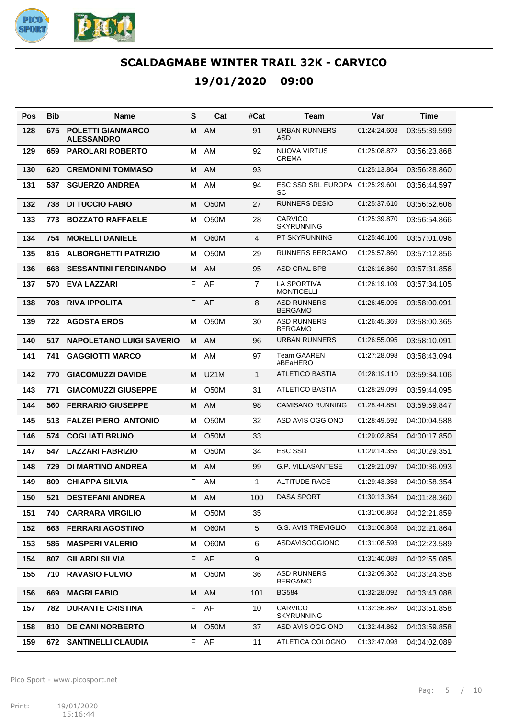

**19/01/2020 09:00**

| Pos | Bib  | Name                                          | S  | Cat               | #Cat             | Team                                 | Var          | Time         |
|-----|------|-----------------------------------------------|----|-------------------|------------------|--------------------------------------|--------------|--------------|
| 128 | 675  | <b>POLETTI GIANMARCO</b><br><b>ALESSANDRO</b> | м  | <b>AM</b>         | 91               | <b>URBAN RUNNERS</b><br>ASD          | 01:24:24.603 | 03:55:39.599 |
| 129 | 659  | <b>PAROLARI ROBERTO</b>                       | м  | AM                | 92               | <b>NUOVA VIRTUS</b><br><b>CREMA</b>  | 01:25:08.872 | 03:56:23.868 |
| 130 | 620  | <b>CREMONINI TOMMASO</b>                      | M  | AM                | 93               |                                      | 01:25:13.864 | 03:56:28.860 |
| 131 | 537  | <b>SGUERZO ANDREA</b>                         | M  | AM                | 94               | ESC SSD SRL EUROPA<br>SC             | 01:25:29.601 | 03:56:44.597 |
| 132 | 738  | <b>DI TUCCIO FABIO</b>                        | м  | <b>O50M</b>       | 27               | <b>RUNNERS DESIO</b>                 | 01:25:37.610 | 03:56:52.606 |
| 133 | 773  | <b>BOZZATO RAFFAELE</b>                       | M  | <b>O50M</b>       | 28               | <b>CARVICO</b><br><b>SKYRUNNING</b>  | 01:25:39.870 | 03:56:54.866 |
| 134 | 754  | <b>MORELLI DANIELE</b>                        | м  | <b>O60M</b>       | 4                | PT SKYRUNNING                        | 01:25:46.100 | 03:57:01.096 |
| 135 | 816  | <b>ALBORGHETTI PATRIZIO</b>                   | м  | <b>O50M</b>       | 29               | <b>RUNNERS BERGAMO</b>               | 01:25:57.860 | 03:57:12.856 |
| 136 | 668  | <b>SESSANTINI FERDINANDO</b>                  | M  | AM                | 95               | ASD CRAL BPB                         | 01:26:16.860 | 03:57:31.856 |
| 137 | 570  | EVA LAZZARI                                   | F  | AF                | $\overline{7}$   | LA SPORTIVA<br><b>MONTICELLI</b>     | 01:26:19.109 | 03:57:34.105 |
| 138 | 708  | <b>RIVA IPPOLITA</b>                          | F  | AF                | 8                | <b>ASD RUNNERS</b><br><b>BERGAMO</b> | 01:26:45.095 | 03:58:00.091 |
| 139 | 722  | <b>AGOSTA EROS</b>                            | M  | O50M              | 30               | <b>ASD RUNNERS</b><br><b>BERGAMO</b> | 01:26:45.369 | 03:58:00.365 |
| 140 | 517  | <b>NAPOLETANO LUIGI SAVERIO</b>               | M  | AM                | 96               | <b>URBAN RUNNERS</b>                 | 01:26:55.095 | 03:58:10.091 |
| 141 | 741  | <b>GAGGIOTTI MARCO</b>                        | м  | AM                | 97               | <b>Team GAAREN</b><br>#BEaHERO       | 01:27:28.098 | 03:58:43.094 |
| 142 | 770  | <b>GIACOMUZZI DAVIDE</b>                      | м  | <b>U21M</b>       | $\mathbf{1}$     | ATLETICO BASTIA                      | 01:28:19.110 | 03:59:34.106 |
| 143 | 771  | <b>GIACOMUZZI GIUSEPPE</b>                    | м  | O <sub>5</sub> 0M | 31               | ATLETICO BASTIA                      | 01:28:29.099 | 03:59:44.095 |
| 144 | 560  | <b>FERRARIO GIUSEPPE</b>                      | м  | AM                | 98               | <b>CAMISANO RUNNING</b>              | 01.28.44.851 | 03:59:59.847 |
| 145 | 513  | <b>FALZEI PIERO ANTONIO</b>                   | м  | O <sub>5</sub> 0M | 32               | ASD AVIS OGGIONO                     | 01:28:49.592 | 04:00:04.588 |
| 146 | 574  | <b>COGLIATI BRUNO</b>                         | м  | <b>O50M</b>       | 33               |                                      | 01:29:02.854 | 04:00:17.850 |
| 147 | 547  | <b>LAZZARI FABRIZIO</b>                       | м  | O <sub>5</sub> 0M | 34               | <b>ESC SSD</b>                       | 01:29:14.355 | 04:00:29.351 |
| 148 | 729  | <b>DI MARTINO ANDREA</b>                      | M  | AM                | 99               | <b>G.P. VILLASANTESE</b>             | 01:29:21.097 | 04:00:36.093 |
| 149 | 809  | <b>CHIAPPA SILVIA</b>                         | F  | AM                | $\mathbf{1}$     | <b>ALTITUDE RACE</b>                 | 01:29:43.358 | 04:00:58.354 |
| 150 | 521. | <b>DESTEFANI ANDREA</b>                       |    | M AM              | 100              | <b>DASA SPORT</b>                    | 01:30:13.364 | 04:01:28.360 |
| 151 | 740  | <b>CARRARA VIRGILIO</b>                       | м  | O50M              | 35               |                                      | 01:31:06.863 | 04:02:21.859 |
| 152 | 663  | <b>FERRARI AGOSTINO</b>                       | M  | O60M              | $\sqrt{5}$       | <b>G.S. AVIS TREVIGLIO</b>           | 01:31:06.868 | 04:02:21.864 |
| 153 | 586  | <b>MASPERI VALERIO</b>                        | м  | O60M              | 6                | ASDAVISOGGIONO                       | 01:31:08.593 | 04:02:23.589 |
| 154 | 807  | <b>GILARDI SILVIA</b>                         | F. | AF                | $\boldsymbol{9}$ |                                      | 01:31:40.089 | 04:02:55.085 |
| 155 | 710  | <b>RAVASIO FULVIO</b>                         | м  | O50M              | 36               | <b>ASD RUNNERS</b><br><b>BERGAMO</b> | 01:32:09.362 | 04:03:24.358 |
| 156 | 669  | <b>MAGRI FABIO</b>                            | М  | AM                | 101              | <b>BG584</b>                         | 01:32:28.092 | 04:03:43.088 |
| 157 | 782  | <b>DURANTE CRISTINA</b>                       | F  | AF                | 10               | CARVICO<br><b>SKYRUNNING</b>         | 01:32:36.862 | 04:03:51.858 |
| 158 | 810  | <b>DE CANI NORBERTO</b>                       | M  | O <sub>5</sub> 0M | 37               | ASD AVIS OGGIONO                     | 01:32:44.862 | 04:03:59.858 |
| 159 | 672  | <b>SANTINELLI CLAUDIA</b>                     | F  | AF                | 11               | ATLETICA COLOGNO                     | 01:32:47.093 | 04:04:02.089 |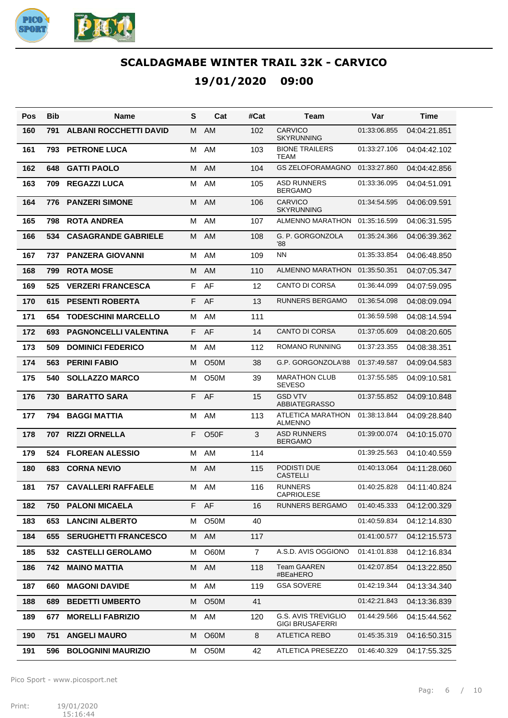

**19/01/2020 09:00**

| Pos | <b>Bib</b> | Name                          | S  | Cat               | #Cat           | Team                                   | Var          | Time         |
|-----|------------|-------------------------------|----|-------------------|----------------|----------------------------------------|--------------|--------------|
| 160 | 791        | <b>ALBANI ROCCHETTI DAVID</b> | м  | AM                | 102            | <b>CARVICO</b><br><b>SKYRUNNING</b>    | 01:33:06.855 | 04:04:21.851 |
| 161 | 793        | <b>PETRONE LUCA</b>           | M  | AM                | 103            | <b>BIONE TRAILERS</b><br>TEAM          | 01:33:27.106 | 04:04:42.102 |
| 162 | 648        | <b>GATTI PAOLO</b>            | м  | AM                | 104            | <b>GS ZELOFORAMAGNO</b>                | 01:33:27.860 | 04:04:42.856 |
| 163 | 709        | <b>REGAZZI LUCA</b>           | M  | AM                | 105            | <b>ASD RUNNERS</b><br><b>BERGAMO</b>   | 01:33:36.095 | 04:04:51.091 |
| 164 | 776        | <b>PANZERI SIMONE</b>         | м  | AM                | 106            | <b>CARVICO</b><br><b>SKYRUNNING</b>    | 01:34:54.595 | 04:06:09.591 |
| 165 | 798        | <b>ROTA ANDREA</b>            | M  | AM                | 107            | ALMENNO MARATHON                       | 01:35:16.599 | 04:06:31.595 |
| 166 | 534        | <b>CASAGRANDE GABRIELE</b>    | м  | AM                | 108            | G. P. GORGONZOLA<br>'88                | 01:35:24.366 | 04:06:39.362 |
| 167 | 737        | <b>PANZERA GIOVANNI</b>       | M  | AM                | 109            | <b>NN</b>                              | 01:35:33.854 | 04:06:48.850 |
| 168 | 799        | <b>ROTA MOSE</b>              | M  | AM                | 110            | ALMENNO MARATHON                       | 01:35:50.351 | 04:07:05.347 |
| 169 | 525        | <b>VERZERI FRANCESCA</b>      | F  | AF                | 12             | <b>CANTO DI CORSA</b>                  | 01:36:44.099 | 04:07:59.095 |
| 170 | 615        | <b>PESENTI ROBERTA</b>        | F  | AF                | 13             | <b>RUNNERS BERGAMO</b>                 | 01:36:54.098 | 04:08:09.094 |
| 171 | 654        | <b>TODESCHINI MARCELLO</b>    | м  | <b>AM</b>         | 111            |                                        | 01:36:59.598 | 04:08:14.594 |
| 172 | 693        | <b>PAGNONCELLI VALENTINA</b>  | F  | AF                | 14             | <b>CANTO DI CORSA</b>                  | 01:37:05.609 | 04:08:20.605 |
| 173 | 509        | <b>DOMINICI FEDERICO</b>      | M  | AM                | 112            | <b>ROMANO RUNNING</b>                  | 01:37:23.355 | 04:08:38.351 |
| 174 | 563        | <b>PERINI FABIO</b>           | M  | <b>O50M</b>       | 38             | G.P. GORGONZOLA'88                     | 01:37:49.587 | 04:09:04.583 |
| 175 | 540        | <b>SOLLAZZO MARCO</b>         | м  | <b>O50M</b>       | 39             | <b>MARATHON CLUB</b><br><b>SEVESO</b>  | 01:37:55.585 | 04:09:10.581 |
| 176 | 730        | <b>BARATTO SARA</b>           | F. | AF                | 15             | <b>GSD VTV</b><br><b>ABBIATEGRASSO</b> | 01:37:55.852 | 04:09:10.848 |
| 177 | 794        | <b>BAGGI MATTIA</b>           | м  | AM                | 113            | ATLETICA MARATHON<br><b>ALMENNO</b>    | 01:38:13.844 | 04:09:28.840 |
| 178 | 707        | <b>RIZZI ORNELLA</b>          | F  | O <sub>5</sub> OF | 3              | <b>ASD RUNNERS</b><br><b>BERGAMO</b>   | 01:39:00.074 | 04:10:15.070 |
| 179 | 524        | <b>FLOREAN ALESSIO</b>        | м  | AM                | 114            |                                        | 01:39:25.563 | 04:10:40.559 |
| 180 | 683        | <b>CORNA NEVIO</b>            | м  | AM                | 115            | PODISTI DUE<br><b>CASTELLI</b>         | 01:40:13.064 | 04:11:28.060 |
| 181 | 757        | <b>CAVALLERI RAFFAELE</b>     | м  | AM                | 116            | <b>RUNNERS</b><br><b>CAPRIOLESE</b>    | 01:40:25.828 | 04:11:40.824 |
| 182 | 750        | <b>PALONI MICAELA</b>         |    | F AF              | 16             | <b>RUNNERS BERGAMO</b>                 | 01:40:45.333 | 04:12:00.329 |
| 183 | 653        | <b>LANCINI ALBERTO</b>        | M  | O50M              | 40             |                                        | 01:40:59.834 | 04:12:14.830 |
| 184 | 655        | <b>SERUGHETTI FRANCESCO</b>   | М  | AM                | 117            |                                        | 01:41:00.577 | 04:12:15.573 |
| 185 | 532        | <b>CASTELLI GEROLAMO</b>      | M  | O60M              | $\overline{7}$ | A.S.D. AVIS OGGIONO                    | 01:41:01.838 | 04:12:16.834 |
| 186 | 742        | <b>MAINO MATTIA</b>           | М  | AM                | 118            | <b>Team GAAREN</b><br>#BEaHERO         | 01:42:07.854 | 04:13:22.850 |
| 187 | 660        | <b>MAGONI DAVIDE</b>          | M  | AM                | 119            | <b>GSA SOVERE</b>                      | 01:42:19.344 | 04:13:34.340 |
| 188 | 689        | <b>BEDETTI UMBERTO</b>        | M  | O <sub>5</sub> 0M | 41             |                                        | 01:42:21.843 | 04:13:36.839 |
| 189 | 677        | <b>MORELLI FABRIZIO</b>       | M  | AM                | 120            | G.S. AVIS TREVIGLIO<br>GIGI BRUSAFERRI | 01:44:29.566 | 04:15:44.562 |
| 190 | 751        | <b>ANGELI MAURO</b>           | м  | O60M              | 8              | ATLETICA REBO                          | 01:45:35.319 | 04:16:50.315 |
| 191 | 596        | <b>BOLOGNINI MAURIZIO</b>     | м  | O50M              | 42             | ATLETICA PRESEZZO                      | 01:46:40.329 | 04:17:55.325 |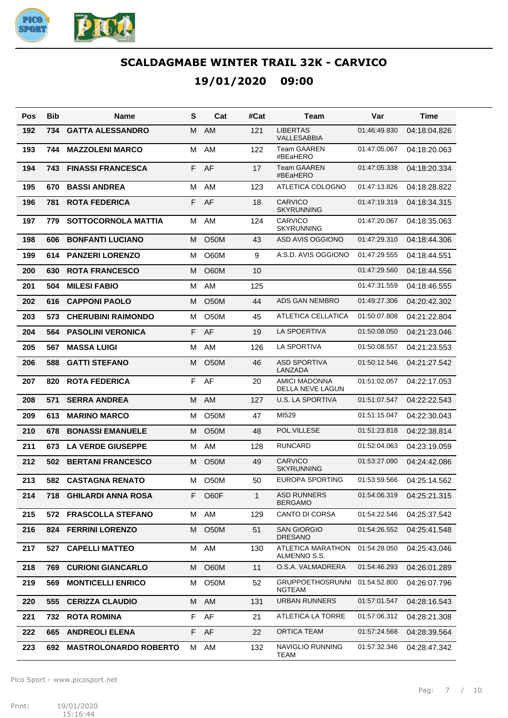

**19/01/2020 09:00**

| Pos | Bib  | Name                          | S  | Cat               | #Cat         | Team                                     | Var          | Time         |
|-----|------|-------------------------------|----|-------------------|--------------|------------------------------------------|--------------|--------------|
| 192 | 734  | <b>GATTA ALESSANDRO</b>       | м  | AM                | 121          | <b>LIBERTAS</b><br><b>VALLESABBIA</b>    | 01:46:49.830 | 04:18:04.826 |
| 193 | 744  | <b>MAZZOLENI MARCO</b>        | M  | AM                | 122          | <b>Team GAAREN</b><br>#BEaHERO           | 01:47:05.067 | 04:18:20.063 |
| 194 | 743  | <b>FINASSI FRANCESCA</b>      | F  | AF                | 17           | <b>Team GAAREN</b><br>#BEaHERO           | 01:47:05.338 | 04:18:20.334 |
| 195 | 670  | <b>BASSI ANDREA</b>           | м  | AM                | 123          | ATLETICA COLOGNO                         | 01:47:13.826 | 04:18:28.822 |
| 196 | 781  | <b>ROTA FEDERICA</b>          | F  | AF                | 18           | <b>CARVICO</b><br><b>SKYRUNNING</b>      | 01:47:19.319 | 04:18:34.315 |
| 197 | 779  | <b>SOTTOCORNOLA MATTIA</b>    | M  | AM                | 124          | CARVICO<br><b>SKYRUNNING</b>             | 01:47:20.067 | 04:18:35.063 |
| 198 | 606  | <b>BONFANTI LUCIANO</b>       | M  | <b>O50M</b>       | 43           | ASD AVIS OGGIONO                         | 01:47:29.310 | 04:18:44.306 |
| 199 | 614  | <b>PANZERI LORENZO</b>        | M  | <b>O60M</b>       | 9            | A.S.D. AVIS OGGIONO                      | 01:47:29.555 | 04:18:44.551 |
| 200 | 630  | <b>ROTA FRANCESCO</b>         | M  | <b>O60M</b>       | 10           |                                          | 01:47:29.560 | 04:18:44.556 |
| 201 | 504  | <b>MILESI FABIO</b>           | M  | AM                | 125          |                                          | 01:47:31.559 | 04:18:46.555 |
| 202 | 616  | <b>CAPPONI PAOLO</b>          | M  | <b>O50M</b>       | 44           | <b>ADS GAN NEMBRO</b>                    | 01:49:27.306 | 04:20:42.302 |
| 203 | 573  | <b>CHERUBINI RAIMONDO</b>     | M  | O <sub>5</sub> 0M | 45           | ATLETICA CELLATICA                       | 01:50:07.808 | 04:21:22.804 |
| 204 | 564  | <b>PASOLINI VERONICA</b>      | F  | AF                | 19           | <b>LA SPOERTIVA</b>                      | 01:50:08.050 | 04:21:23.046 |
| 205 | 567  | <b>MASSA LUIGI</b>            | M  | AM                | 126          | <b>LA SPORTIVA</b>                       | 01:50:08.557 | 04:21:23.553 |
| 206 | 588  | <b>GATTI STEFANO</b>          | M  | O <sub>5</sub> 0M | 46           | <b>ASD SPORTIVA</b><br>LANZADA           | 01:50:12.546 | 04:21:27.542 |
| 207 | 820  | <b>ROTA FEDERICA</b>          | F  | AF                | 20           | <b>AMICI MADONNA</b><br>DELLA NEVE LAGUN | 01:51:02.057 | 04:22:17.053 |
| 208 | 571  | <b>SERRA ANDREA</b>           | м  | AM                | 127          | <b>U.S. LA SPORTIVA</b>                  | 01:51:07.547 | 04:22:22.543 |
| 209 | 613  | <b>MARINO MARCO</b>           | М  | O <sub>5</sub> 0M | 47           | MI529                                    | 01:51:15.047 | 04:22:30.043 |
| 210 | 678  | <b>BONASSI EMANUELE</b>       | м  | <b>O50M</b>       | 48           | POL.VILLESE                              | 01:51:23.818 | 04:22:38.814 |
| 211 | 673  | <b>LA VERDE GIUSEPPE</b>      | M  | AM                | 128          | <b>RUNCARD</b>                           | 01:52:04.063 | 04:23:19.059 |
| 212 | 502  | <b>BERTANI FRANCESCO</b>      | м  | <b>O50M</b>       | 49           | CARVICO<br><b>SKYRUNNING</b>             | 01:53:27.090 | 04:24:42.086 |
| 213 |      | 582 CASTAGNA RENATO           | M  | O <sub>5</sub> 0M | 50           | <b>EUROPA SPORTING</b>                   | 01:53:59.566 | 04:25:14.562 |
| 214 |      | <b>718 GHILARDI ANNA ROSA</b> | F. | O60F              | $\mathbf{1}$ | <b>ASD RUNNERS</b><br><b>BERGAMO</b>     | 01:54:06.319 | 04:25:21.315 |
| 215 | 572  | <b>FRASCOLLA STEFANO</b>      | М  | AM                | 129          | <b>CANTO DI CORSA</b>                    | 01:54:22.546 | 04:25:37.542 |
| 216 |      | 824 FERRINI LORENZO           | M  | O <sub>5</sub> 0M | 51           | <b>SAN GIORGIO</b><br><b>DRESANO</b>     | 01:54:26.552 | 04:25:41.548 |
| 217 | 527  | <b>CAPELLI MATTEO</b>         | м  | AM                | 130          | ATLETICA MARATHON<br>ALMENNO S.S.        | 01:54:28.050 | 04:25:43.046 |
| 218 | 769  | <b>CURIONI GIANCARLO</b>      | м  | O60M              | 11           | O.S.A. VALMADRERA                        | 01:54:46.293 | 04:26:01.289 |
| 219 | 569  | <b>MONTICELLI ENRICO</b>      | M  | O50M              | 52           | <b>GRUPPOETHOSRUNNI</b><br><b>NGTEAM</b> | 01:54:52.800 | 04:26:07.796 |
| 220 | 555  | <b>CERIZZA CLAUDIO</b>        | М  | AM                | 131          | <b>URBAN RUNNERS</b>                     | 01:57:01.547 | 04:28:16.543 |
| 221 | 732  | <b>ROTA ROMINA</b>            | F  | AF                | 21           | ATLETICA LA TORRE                        | 01:57:06.312 | 04:28:21.308 |
| 222 | 665  | <b>ANDREOLI ELENA</b>         | F. | AF                | 22           | <b>ORTICA TEAM</b>                       | 01:57:24.568 | 04:28:39.564 |
| 223 | 692. | <b>MASTROLONARDO ROBERTO</b>  | м  | AM                | 132          | NAVIGLIO RUNNING<br>TEAM                 | 01:57:32.346 | 04:28:47.342 |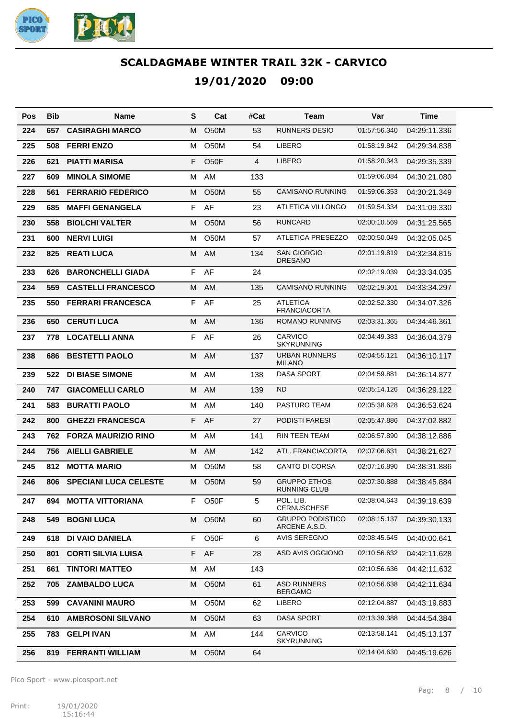

| Pos | <b>Bib</b> | Name                         | S  | Cat               | #Cat | Team                                     | Var          | Time         |
|-----|------------|------------------------------|----|-------------------|------|------------------------------------------|--------------|--------------|
| 224 | 657        | <b>CASIRAGHI MARCO</b>       | м  | O <sub>5</sub> 0M | 53   | <b>RUNNERS DESIO</b>                     | 01:57:56.340 | 04:29:11.336 |
| 225 | 508        | <b>FERRI ENZO</b>            | м  | O <sub>5</sub> 0M | 54   | <b>LIBERO</b>                            | 01:58:19.842 | 04:29:34.838 |
| 226 | 621        | <b>PIATTI MARISA</b>         | F  | O <sub>5</sub> OF | 4    | <b>LIBERO</b>                            | 01:58:20.343 | 04:29:35.339 |
| 227 | 609        | <b>MINOLA SIMOME</b>         | м  | AM                | 133  |                                          | 01:59:06.084 | 04:30:21.080 |
| 228 | 561        | <b>FERRARIO FEDERICO</b>     | М  | O <sub>5</sub> 0M | 55   | <b>CAMISANO RUNNING</b>                  | 01:59:06.353 | 04:30:21.349 |
| 229 | 685        | <b>MAFFI GENANGELA</b>       | F  | AF                | 23   | ATLETICA VILLONGO                        | 01:59:54.334 | 04:31:09.330 |
| 230 | 558        | <b>BIOLCHI VALTER</b>        | м  | O <sub>5</sub> 0M | 56   | <b>RUNCARD</b>                           | 02:00:10.569 | 04:31:25.565 |
| 231 | 600        | <b>NERVI LUIGI</b>           | м  | <b>O50M</b>       | 57   | <b>ATLETICA PRESEZZO</b>                 | 02:00:50.049 | 04:32:05.045 |
| 232 | 825        | <b>REATI LUCA</b>            | м  | <b>AM</b>         | 134  | <b>SAN GIORGIO</b><br><b>DRESANO</b>     | 02:01:19.819 | 04:32:34.815 |
| 233 | 626        | <b>BARONCHELLI GIADA</b>     | F  | AF                | 24   |                                          | 02:02:19.039 | 04:33:34.035 |
| 234 | 559        | <b>CASTELLI FRANCESCO</b>    | м  | AM                | 135  | <b>CAMISANO RUNNING</b>                  | 02:02:19.301 | 04:33:34.297 |
| 235 | 550        | <b>FERRARI FRANCESCA</b>     | F  | AF                | 25   | <b>ATLETICA</b><br><b>FRANCIACORTA</b>   | 02:02:52.330 | 04:34:07.326 |
| 236 | 650        | <b>CERUTI LUCA</b>           | M  | AM                | 136  | <b>ROMANO RUNNING</b>                    | 02:03:31.365 | 04:34:46.361 |
| 237 | 778        | <b>LOCATELLI ANNA</b>        | F  | AF                | 26   | <b>CARVICO</b><br><b>SKYRUNNING</b>      | 02:04:49.383 | 04:36:04.379 |
| 238 | 686        | <b>BESTETTI PAOLO</b>        | м  | <b>AM</b>         | 137  | <b>URBAN RUNNERS</b><br><b>MILANO</b>    | 02:04:55.121 | 04:36:10.117 |
| 239 | 522        | <b>DI BIASE SIMONE</b>       | M  | AM                | 138  | DASA SPORT                               | 02:04:59.881 | 04:36:14.877 |
| 240 | 747        | <b>GIACOMELLI CARLO</b>      | м  | AM                | 139  | <b>ND</b>                                | 02:05:14.126 | 04:36:29.122 |
| 241 | 583        | <b>BURATTI PAOLO</b>         | M  | AM                | 140  | PASTURO TEAM                             | 02:05:38.628 | 04:36:53.624 |
| 242 | 800        | <b>GHEZZI FRANCESCA</b>      | F  | AF                | 27   | PODISTI FARESI                           | 02:05:47.886 | 04:37:02.882 |
| 243 | 762        | <b>FORZA MAURIZIO RINO</b>   | M  | AM                | 141  | RIN TEEN TEAM                            | 02:06:57.890 | 04:38:12.886 |
| 244 | 756        | <b>AIELLI GABRIELE</b>       | м  | AM                | 142  | ATL. FRANCIACORTA                        | 02:07:06.631 | 04:38:21.627 |
| 245 | 812        | <b>MOTTA MARIO</b>           | м  | O <sub>5</sub> 0M | 58   | <b>CANTO DI CORSA</b>                    | 02:07:16.890 | 04:38:31.886 |
| 246 | 806        | <b>SPECIANI LUCA CELESTE</b> | м  | O50M              | 59   | <b>GRUPPO ETHOS</b><br>RUNNING CLUB      | 02:07:30.888 | 04:38:45.884 |
| 247 | 694        | <b>MOTTA VITTORIANA</b>      | F. | O <sub>50</sub> F | 5    | POL. LIB.<br><b>CERNUSCHESE</b>          | 02:08:04.643 | 04:39:19.639 |
| 248 | 549        | <b>BOGNI LUCA</b>            | м  | O50M              | 60   | <b>GRUPPO PODISTICO</b><br>ARCENE A.S.D. | 02:08:15.137 | 04:39:30.133 |
| 249 | 618        | <b>DI VAIO DANIELA</b>       | F. | O <sub>50</sub> F | 6    | <b>AVIS SEREGNO</b>                      | 02:08:45.645 | 04:40:00.641 |
| 250 | 801        | <b>CORTI SILVIA LUISA</b>    | F  | AF                | 28   | ASD AVIS OGGIONO                         | 02:10:56.632 | 04:42:11.628 |
| 251 | 661        | <b>TINTORI MATTEO</b>        | М  | AM                | 143  |                                          | 02:10:56.636 | 04:42:11.632 |
| 252 | 705        | <b>ZAMBALDO LUCA</b>         | м  | O50M              | 61   | <b>ASD RUNNERS</b><br><b>BERGAMO</b>     | 02:10:56.638 | 04:42:11.634 |
| 253 | 599        | <b>CAVANINI MAURO</b>        | М  | O50M              | 62   | LIBERO                                   | 02:12:04.887 | 04:43:19.883 |
| 254 | 610        | <b>AMBROSONI SILVANO</b>     | м  | O50M              | 63   | <b>DASA SPORT</b>                        | 02:13:39.388 | 04:44:54.384 |
| 255 | 783        | <b>GELPI IVAN</b>            | М  | AM                | 144  | CARVICO<br><b>SKYRUNNING</b>             | 02:13:58.141 | 04:45:13.137 |
| 256 | 819        | <b>FERRANTI WILLIAM</b>      | м  | O <sub>5</sub> 0M | 64   |                                          | 02:14:04.630 | 04:45:19.626 |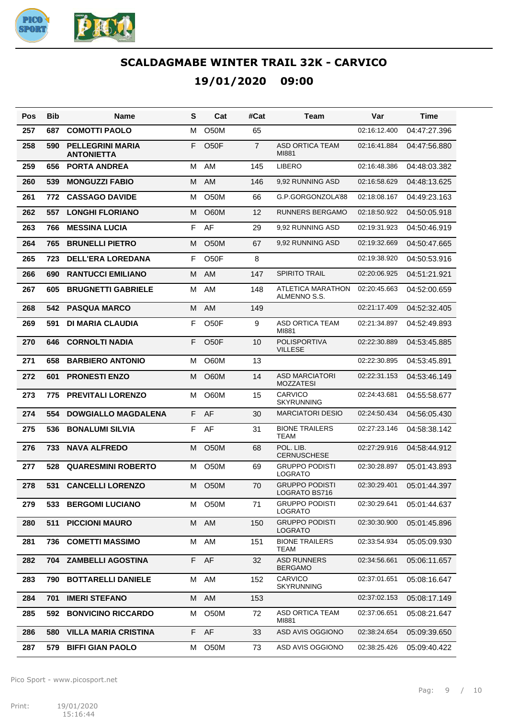

| Pos | Bib | Name                                         | S  | Cat               | #Cat           | Team                                      | Var          | Time         |
|-----|-----|----------------------------------------------|----|-------------------|----------------|-------------------------------------------|--------------|--------------|
| 257 | 687 | <b>COMOTTI PAOLO</b>                         | м  | O <sub>5</sub> 0M | 65             |                                           | 02:16:12.400 | 04:47:27.396 |
| 258 | 590 | <b>PELLEGRINI MARIA</b><br><b>ANTONIETTA</b> | F  | O <sub>5</sub> 0F | $\overline{7}$ | <b>ASD ORTICA TEAM</b><br>MI881           | 02:16:41.884 | 04:47:56.880 |
| 259 | 656 | <b>PORTA ANDREA</b>                          | м  | AM                | 145            | <b>LIBERO</b>                             | 02:16:48.386 | 04:48:03.382 |
| 260 | 539 | <b>MONGUZZI FABIO</b>                        | м  | AM                | 146            | 9,92 RUNNING ASD                          | 02:16:58.629 | 04:48:13.625 |
| 261 | 772 | <b>CASSAGO DAVIDE</b>                        | м  | O <sub>5</sub> 0M | 66             | G.P.GORGONZOLA'88                         | 02:18:08.167 | 04:49:23.163 |
| 262 | 557 | <b>LONGHI FLORIANO</b>                       | м  | O60M              | 12             | RUNNERS BERGAMO                           | 02:18:50.922 | 04:50:05.918 |
| 263 | 766 | <b>MESSINA LUCIA</b>                         | F  | AF                | 29             | 9,92 RUNNING ASD                          | 02:19:31.923 | 04:50:46.919 |
| 264 | 765 | <b>BRUNELLI PIETRO</b>                       | м  | O <sub>5</sub> 0M | 67             | 9,92 RUNNING ASD                          | 02:19:32.669 | 04:50:47.665 |
| 265 | 723 | <b>DELL'ERA LOREDANA</b>                     | F  | O50F              | 8              |                                           | 02:19:38.920 | 04:50:53.916 |
| 266 | 690 | <b>RANTUCCI EMILIANO</b>                     | м  | AM                | 147            | <b>SPIRITO TRAIL</b>                      | 02:20:06.925 | 04:51:21.921 |
| 267 | 605 | <b>BRUGNETTI GABRIELE</b>                    | м  | AM                | 148            | ATLETICA MARATHON<br>ALMENNO S.S.         | 02:20:45.663 | 04:52:00.659 |
| 268 | 542 | <b>PASQUA MARCO</b>                          | м  | AM                | 149            |                                           | 02:21:17.409 | 04:52:32.405 |
| 269 | 591 | DI MARIA CLAUDIA                             | F  | O <sub>50</sub> F | 9              | <b>ASD ORTICA TEAM</b><br>MI881           | 02:21:34.897 | 04:52:49.893 |
| 270 | 646 | <b>CORNOLTI NADIA</b>                        | F  | O <sub>5</sub> 0F | 10             | POLISPORTIVA<br><b>VILLESE</b>            | 02:22:30.889 | 04:53:45.885 |
| 271 | 658 | <b>BARBIERO ANTONIO</b>                      | м  | O60M              | 13             |                                           | 02:22:30.895 | 04:53:45.891 |
| 272 | 601 | <b>PRONESTI ENZO</b>                         | м  | O60M              | 14             | <b>ASD MARCIATORI</b><br><b>MOZZATESI</b> | 02:22:31.153 | 04:53:46.149 |
| 273 | 775 | <b>PREVITALI LORENZO</b>                     | м  | O60M              | 15             | <b>CARVICO</b><br><b>SKYRUNNING</b>       | 02:24:43.681 | 04:55:58.677 |
| 274 | 554 | <b>DOWGIALLO MAGDALENA</b>                   | F. | AF                | 30             | MARCIATORI DESIO                          | 02:24:50.434 | 04:56:05.430 |
| 275 | 536 | <b>BONALUMI SILVIA</b>                       | F. | AF                | 31             | <b>BIONE TRAILERS</b><br>TEAM             | 02:27:23.146 | 04:58:38.142 |
| 276 | 733 | <b>NAVA ALFREDO</b>                          | м  | O <sub>5</sub> 0M | 68             | POL. LIB.<br><b>CERNUSCHESE</b>           | 02:27:29.916 | 04:58:44.912 |
| 277 | 528 | <b>QUARESMINI ROBERTO</b>                    | м  | O <sub>5</sub> 0M | 69             | <b>GRUPPO PODISTI</b><br><b>LOGRATO</b>   | 02:30:28.897 | 05:01:43.893 |
| 278 | 531 | <b>CANCELLI LORENZO</b>                      | M  | O <sub>5</sub> 0M | 70             | <b>GRUPPO PODISTI</b><br>LOGRATO BS716    | 02:30:29.401 | 05:01:44.397 |
| 279 | 533 | <b>BERGOMI LUCIANO</b>                       | M  | O <sub>5</sub> 0M | 71             | <b>GRUPPO PODISTI</b><br><b>LOGRATO</b>   | 02:30:29.641 | 05:01:44.637 |
| 280 | 511 | <b>PICCIONI MAURO</b>                        |    | M AM              | 150            | <b>GRUPPO PODISTI</b><br><b>LOGRATO</b>   | 02:30:30.900 | 05:01:45.896 |
| 281 | 736 | <b>COMETTI MASSIMO</b>                       | м  | AM                | 151            | <b>BIONE TRAILERS</b><br>TEAM             | 02:33:54.934 | 05:05:09.930 |
| 282 | 704 | <b>ZAMBELLI AGOSTINA</b>                     | F. | AF                | 32             | <b>ASD RUNNERS</b><br><b>BERGAMO</b>      | 02:34:56.661 | 05:06:11.657 |
| 283 | 790 | <b>BOTTARELLI DANIELE</b>                    | м  | AM                | 152            | CARVICO<br><b>SKYRUNNING</b>              | 02:37:01.651 | 05:08:16.647 |
| 284 | 701 | <b>IMERI STEFANO</b>                         |    | M AM              | 153            |                                           | 02:37:02.153 | 05:08:17.149 |
| 285 | 592 | <b>BONVICINO RICCARDO</b>                    | м  | O50M              | 72             | ASD ORTICA TEAM<br>MI881                  | 02:37:06.651 | 05:08:21.647 |
| 286 | 580 | <b>VILLA MARIA CRISTINA</b>                  | F  | AF                | 33             | ASD AVIS OGGIONO                          | 02:38:24.654 | 05:09:39.650 |
| 287 | 579 | <b>BIFFI GIAN PAOLO</b>                      | м  | O50M              | 73             | ASD AVIS OGGIONO                          | 02:38:25.426 | 05:09:40.422 |